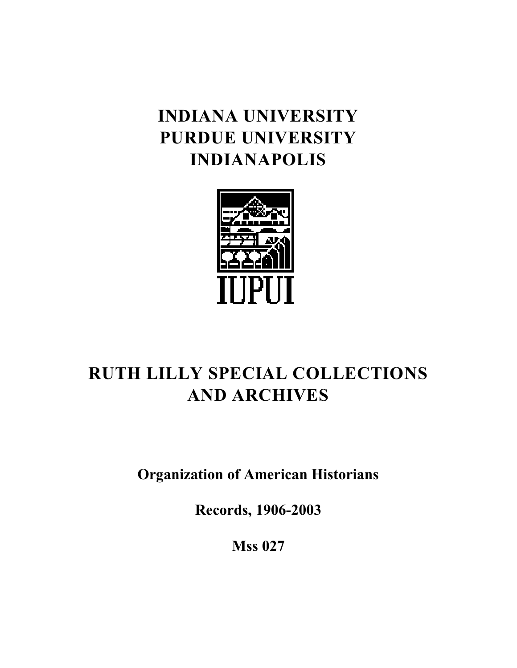# **INDIANA UNIVERSITY PURDUE UNIVERSITY INDIANAPOLIS**



# **RUTH LILLY SPECIAL COLLECTIONS AND ARCHIVES**

**Organization of American Historians**

**Records, 1906-2003**

**Mss 027**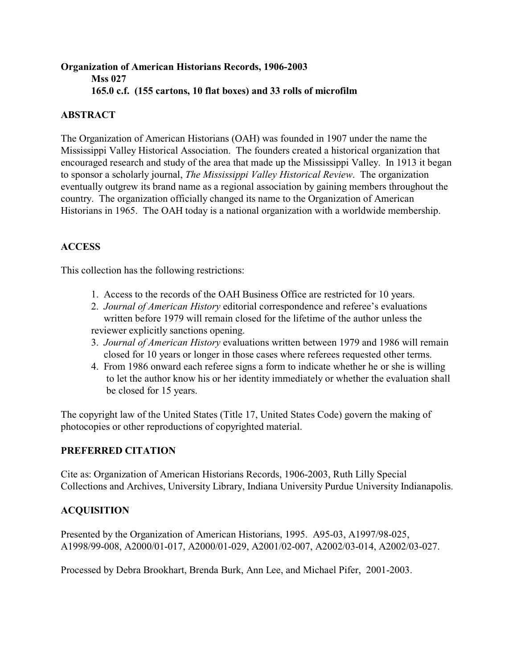### **Organization of American Historians Records, 1906-2003 Mss 027 165.0 c.f. (155 cartons, 10 flat boxes) and 33 rolls of microfilm**

### **ABSTRACT**

The Organization of American Historians (OAH) was founded in 1907 under the name the Mississippi Valley Historical Association. The founders created a historical organization that encouraged research and study of the area that made up the Mississippi Valley. In 1913 it began to sponsor a scholarly journal, *The Mississippi Valley Historical Review*. The organization eventually outgrew its brand name as a regional association by gaining members throughout the country. The organization officially changed its name to the Organization of American Historians in 1965. The OAH today is a national organization with a worldwide membership.

### **ACCESS**

This collection has the following restrictions:

- 1. Access to the records of the OAH Business Office are restricted for 10 years.
- 2. *Journal of American History* editorial correspondence and referee's evaluations written before 1979 will remain closed for the lifetime of the author unless the reviewer explicitly sanctions opening.
- 3. *Journal of American History* evaluations written between 1979 and 1986 will remain closed for 10 years or longer in those cases where referees requested other terms.
- 4. From 1986 onward each referee signs a form to indicate whether he or she is willing to let the author know his or her identity immediately or whether the evaluation shall be closed for 15 years.

The copyright law of the United States (Title 17, United States Code) govern the making of photocopies or other reproductions of copyrighted material.

#### **PREFERRED CITATION**

Cite as: Organization of American Historians Records, 1906-2003, Ruth Lilly Special Collections and Archives, University Library, Indiana University Purdue University Indianapolis.

### **ACQUISITION**

Presented by the Organization of American Historians, 1995. A95-03, A1997/98-025, A1998/99-008, A2000/01-017, A2000/01-029, A2001/02-007, A2002/03-014, A2002/03-027.

Processed by Debra Brookhart, Brenda Burk, Ann Lee, and Michael Pifer, 2001-2003.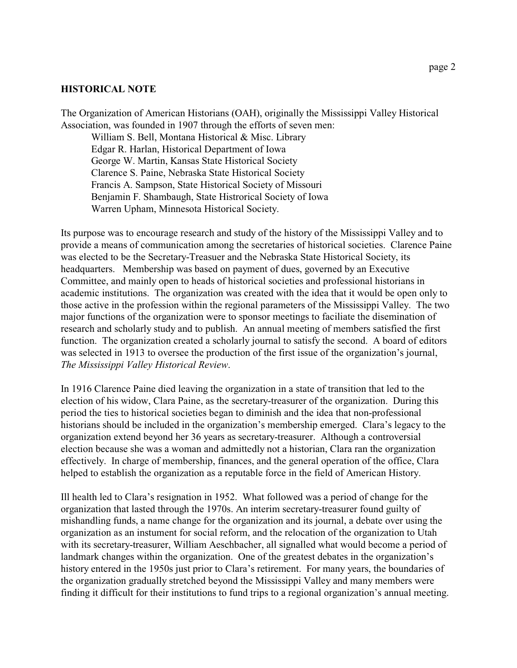#### **HISTORICAL NOTE**

The Organization of American Historians (OAH), originally the Mississippi Valley Historical Association, was founded in 1907 through the efforts of seven men:

William S. Bell, Montana Historical & Misc. Library Edgar R. Harlan, Historical Department of Iowa George W. Martin, Kansas State Historical Society Clarence S. Paine, Nebraska State Historical Society Francis A. Sampson, State Historical Society of Missouri Benjamin F. Shambaugh, State Histrorical Society of Iowa Warren Upham, Minnesota Historical Society.

Its purpose was to encourage research and study of the history of the Mississippi Valley and to provide a means of communication among the secretaries of historical societies. Clarence Paine was elected to be the Secretary-Treasuer and the Nebraska State Historical Society, its headquarters. Membership was based on payment of dues, governed by an Executive Committee, and mainly open to heads of historical societies and professional historians in academic institutions. The organization was created with the idea that it would be open only to those active in the profession within the regional parameters of the Mississippi Valley. The two major functions of the organization were to sponsor meetings to faciliate the disemination of research and scholarly study and to publish. An annual meeting of members satisfied the first function. The organization created a scholarly journal to satisfy the second. A board of editors was selected in 1913 to oversee the production of the first issue of the organization's journal, *The Mississippi Valley Historical Review*.

In 1916 Clarence Paine died leaving the organization in a state of transition that led to the election of his widow, Clara Paine, as the secretary-treasurer of the organization. During this period the ties to historical societies began to diminish and the idea that non-professional historians should be included in the organization's membership emerged. Clara's legacy to the organization extend beyond her 36 years as secretary-treasurer. Although a controversial election because she was a woman and admittedly not a historian, Clara ran the organization effectively. In charge of membership, finances, and the general operation of the office, Clara helped to establish the organization as a reputable force in the field of American History.

Ill health led to Clara's resignation in 1952. What followed was a period of change for the organization that lasted through the 1970s. An interim secretary-treasurer found guilty of mishandling funds, a name change for the organization and its journal, a debate over using the organization as an instument for social reform, and the relocation of the organization to Utah with its secretary-treasurer, William Aeschbacher, all signalled what would become a period of landmark changes within the organization. One of the greatest debates in the organization's history entered in the 1950s just prior to Clara's retirement. For many years, the boundaries of the organization gradually stretched beyond the Mississippi Valley and many members were finding it difficult for their institutions to fund trips to a regional organization's annual meeting.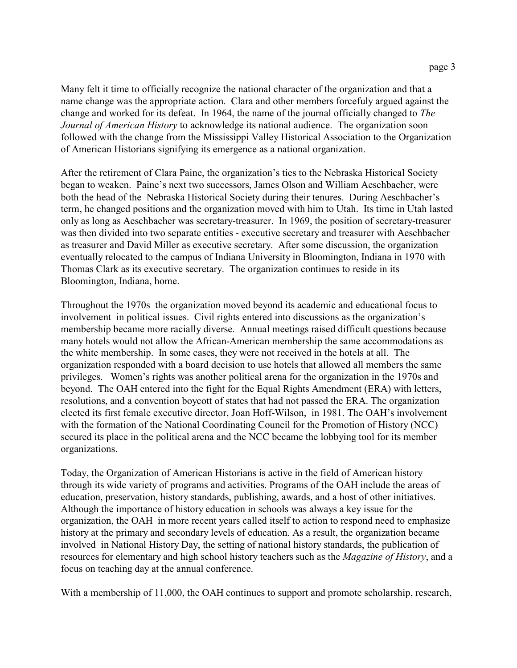Many felt it time to officially recognize the national character of the organization and that a name change was the appropriate action. Clara and other members forcefuly argued against the change and worked for its defeat. In 1964, the name of the journal officially changed to *The Journal of American History* to acknowledge its national audience. The organization soon followed with the change from the Mississippi Valley Historical Association to the Organization of American Historians signifying its emergence as a national organization.

After the retirement of Clara Paine, the organization's ties to the Nebraska Historical Society began to weaken. Paine's next two successors, James Olson and William Aeschbacher, were both the head of the Nebraska Historical Society during their tenures. During Aeschbacher's term, he changed positions and the organization moved with him to Utah. Its time in Utah lasted only as long as Aeschbacher was secretary-treasurer. In 1969, the position of secretary-treasurer was then divided into two separate entities - executive secretary and treasurer with Aeschbacher as treasurer and David Miller as executive secretary. After some discussion, the organization eventually relocated to the campus of Indiana University in Bloomington, Indiana in 1970 with Thomas Clark as its executive secretary. The organization continues to reside in its Bloomington, Indiana, home.

Throughout the 1970s the organization moved beyond its academic and educational focus to involvement in political issues. Civil rights entered into discussions as the organization's membership became more racially diverse. Annual meetings raised difficult questions because many hotels would not allow the African-American membership the same accommodations as the white membership. In some cases, they were not received in the hotels at all. The organization responded with a board decision to use hotels that allowed all members the same privileges. Women's rights was another political arena for the organization in the 1970s and beyond. The OAH entered into the fight for the Equal Rights Amendment (ERA) with letters, resolutions, and a convention boycott of states that had not passed the ERA. The organization elected its first female executive director, Joan Hoff-Wilson, in 1981. The OAH's involvement with the formation of the National Coordinating Council for the Promotion of History (NCC) secured its place in the political arena and the NCC became the lobbying tool for its member organizations.

Today, the Organization of American Historians is active in the field of American history through its wide variety of programs and activities. Programs of the OAH include the areas of education, preservation, history standards, publishing, awards, and a host of other initiatives. Although the importance of history education in schools was always a key issue for the organization, the OAH in more recent years called itself to action to respond need to emphasize history at the primary and secondary levels of education. As a result, the organization became involved in National History Day, the setting of national history standards, the publication of resources for elementary and high school history teachers such as the *Magazine of History*, and a focus on teaching day at the annual conference.

With a membership of 11,000, the OAH continues to support and promote scholarship, research,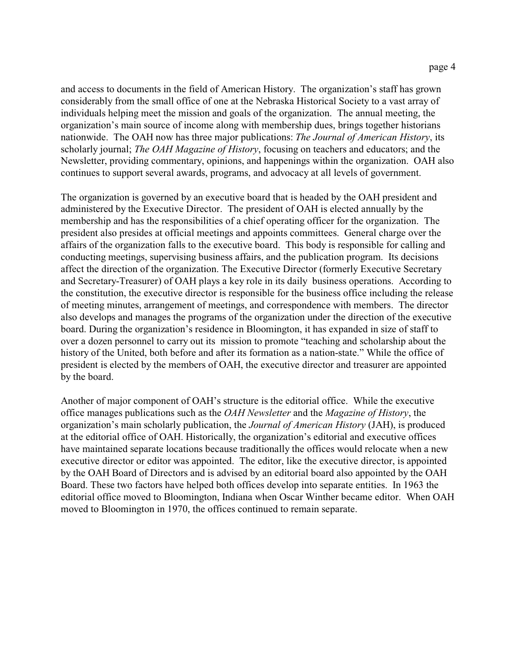and access to documents in the field of American History. The organization's staff has grown considerably from the small office of one at the Nebraska Historical Society to a vast array of individuals helping meet the mission and goals of the organization. The annual meeting, the organization's main source of income along with membership dues, brings together historians nationwide. The OAH now has three major publications: *The Journal of American History*, its scholarly journal; *The OAH Magazine of History*, focusing on teachers and educators; and the Newsletter, providing commentary, opinions, and happenings within the organization. OAH also continues to support several awards, programs, and advocacy at all levels of government.

The organization is governed by an executive board that is headed by the OAH president and administered by the Executive Director. The president of OAH is elected annually by the membership and has the responsibilities of a chief operating officer for the organization. The president also presides at official meetings and appoints committees. General charge over the affairs of the organization falls to the executive board. This body is responsible for calling and conducting meetings, supervising business affairs, and the publication program. Its decisions affect the direction of the organization. The Executive Director (formerly Executive Secretary and Secretary-Treasurer) of OAH plays a key role in its daily business operations. According to the constitution, the executive director is responsible for the business office including the release of meeting minutes, arrangement of meetings, and correspondence with members. The director also develops and manages the programs of the organization under the direction of the executive board. During the organization's residence in Bloomington, it has expanded in size of staff to over a dozen personnel to carry out its mission to promote "teaching and scholarship about the history of the United, both before and after its formation as a nation-state." While the office of president is elected by the members of OAH, the executive director and treasurer are appointed by the board.

Another of major component of OAH's structure is the editorial office. While the executive office manages publications such as the *OAH Newsletter* and the *Magazine of History*, the organization's main scholarly publication, the *Journal of American History* (JAH), is produced at the editorial office of OAH. Historically, the organization's editorial and executive offices have maintained separate locations because traditionally the offices would relocate when a new executive director or editor was appointed. The editor, like the executive director, is appointed by the OAH Board of Directors and is advised by an editorial board also appointed by the OAH Board. These two factors have helped both offices develop into separate entities. In 1963 the editorial office moved to Bloomington, Indiana when Oscar Winther became editor. When OAH moved to Bloomington in 1970, the offices continued to remain separate.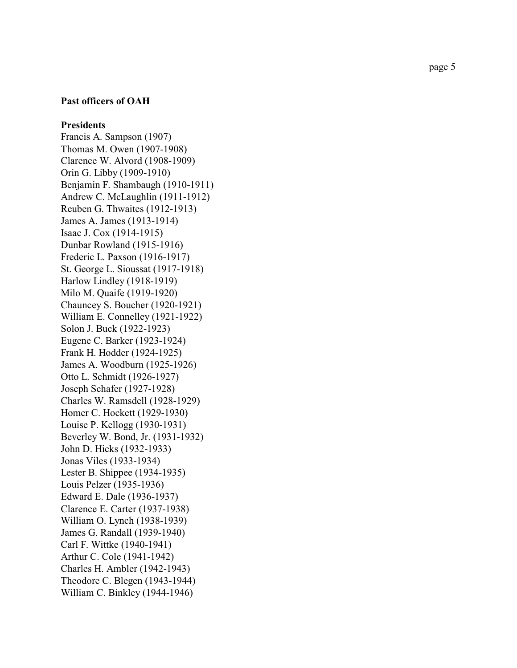#### **Past officers of OAH**

#### **Presidents**

Francis A. Sampson (1907) Thoma s M. Owen (1907-1908) Clarence W. Alvord (1908-1909) Orin G. Libby (1909-1910) Benjamin F. Shambaugh (1910-1911) Andrew C. McLaughlin (1911-1912) Reuben G. Thwaite s (1912-1913) Jame s A. Jame s (1913-1914) I saac J. Cox (1914-1915) Dunbar Rowland (1915-1916) Frederic L. Paxson (1916-1917) St. George L. Sious sat (1917-1918) Harlow Lindle y (1918-1919) Milo M. Quaife (1919-1920) Chauncey S. Boucher (1920-1921) William E. Connelley (1921-1922) Solon J. Buck (1922-1923) Eugene C. Barker (1923-1924) Frank H. Hodder (1924-1925) James A. Woodburn (1925-1926) Otto L. Schmidt (1926-1927) Joseph Schafer (1927-1928) Charle s W. Ramsdell (1928-1929) Homer C. Hockett (1929-1930) Louise P. Kellogg (1930-1931) Beverley W. Bond, Jr. (1931-1932) John D. Hicks (1932-1933) Jonas Viles (1933-1934) Lester B. Shippee (1934-1935) Louis Pelzer (1935-1936) Edward E. Dale (1936-1937) Clarence E. Carter (1937-1938) William O. Lynch (1938-1939) James G. Randall (1939-1940) Carl F. Wittke (1940-1941) Arthur C. Cole (1941-1942) Charle s H. Ambler (1942-1943) Theodore C. Blegen (1943-1944) William C. Binkley (1944-1946)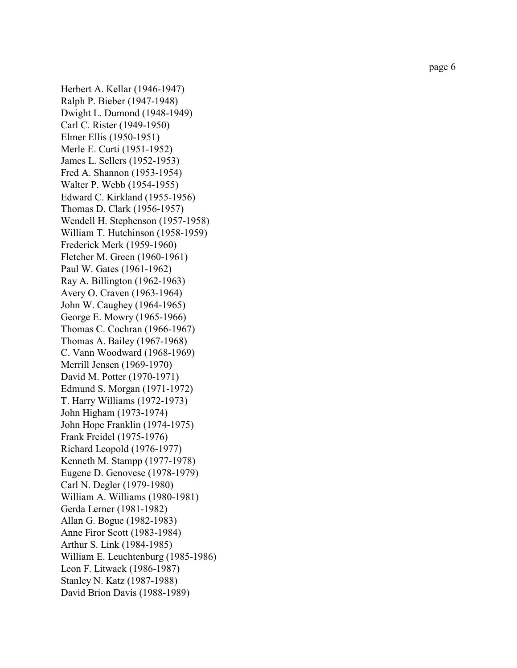Herbert A. Kellar (1946-1947) Ralph P. Bieber (1947-1948) Dwight L. Dumond (1948-1949) Carl C. Rister (1949-1950) Elmer Ellis (1950-1951) Merle E. Curti (1951-1952) James L. Sellers (1952-1953) Fred A. Shannon (1953-1954) Walter P. Webb (1954-1955) Edward C. Kirkland (1955-1956) Thoma s D. Clark (1956-1957) Wendell H. Stephenson (1957-1958) William T. Hutchinson (1958-1959) Frederick Merk (1959-1960) Fletcher M. Green (1960-1961) Paul W. Gate s (1961-1962) Ray A. Billington (1962-1963) Avery O. Craven (1963-1964) John W. Caughey (1964-1965) George E. Mowry (1965-1966) Thoma s C. Cochran (1966-1967) Thoma s A. Bailey (1967-1968) C. Vann Woodward (1968-1969) Merrill Jensen (1969-1970) David M. Potter (1970-1971) Edmund S. Morgan (1971-1972) T. Harry Williams (1972-1973) John Higham (1973-1974) John Hope Franklin (1974-1975) Frank Freidel (1975-1976) Richard Leopold (1976-1977) Kenneth M. Stampp (1977-1978) Eugene D. Genovese (1978-1979) Carl N. Degler (1979-1980) William A. Williams (1980-1981) Gerda Lerner (1981-1982) Allan G. Bogue (1982-1983) Anne Firor Scott (1983-1984) Arthur S. Link (1984-1985) William E. Leuchtenburg (1985-1986) Leon F. Litwack (1986-1987) Stanle y N. Katz (1987-1988) David Brion Davis (1988-1989)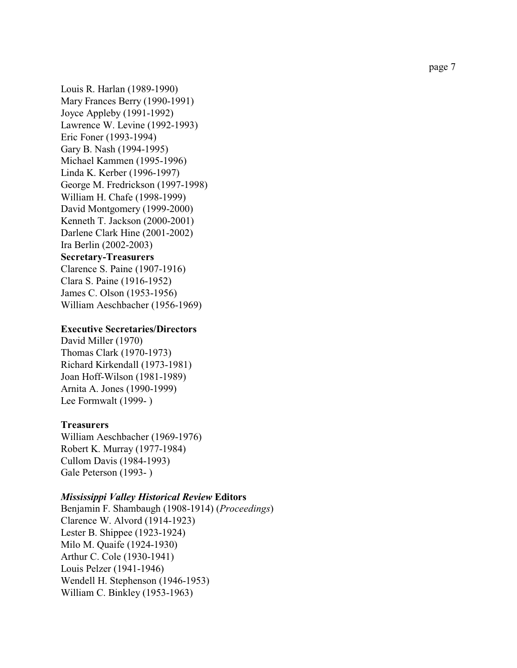Louis R. Harlan (1989-1990) Mary Frances Berry (1990-1991) Joyce Appleby (1991-1992) Lawrence W. Levine (1992-1993) Eric Foner (1993-1994) Gary B. Nash (1994-1995) Michael Kammen (1995-1996) Linda K. Kerber (1996-1997) George M. Fredrickson (1997-1998) William H. Chafe (1998-1999) David Montgomery (1999-2000) Kenneth T. Jackson (2000-2001) Darlene Clark Hine (2001-2002) Ira Berlin (2002-2003) **Secretary-Treasurers** Clarence S. Paine (1907-1916) Clara S. Paine (1916-1952) James C. Olson (1953-1956)

William Aeschbacher (1956-1969)

#### **Executive Secretaries/Directors**

David Miller (1970) Thoma s Clark (1970-1973) Richard Kirkendall (1973-1981) Joan Hoff-Wilson (1981-1989) Arnita A. Jones (1990-1999) Lee Formwalt (1999- )

#### **Treasurers**

William Aeschbacher (1969-1976) Robert K. Murray (1977-1984) Cullom Davis (1984-1993) Gale Peterson (1993-)

#### *Mis sis sippi Valley Histo ric al Review* **E dit ors**

Benjamin F. Shambaugh (1908-1914) (*Proceedings* ) Clarence W. Alvord (1914-1923) Lester B. Shippee (1923-1924) Milo M. Quaife (1924-1930) Arthur C. Cole (1930-1941) Louis Pelzer (1941-1946) Wendell H. Stephenson (1946-1953) William C. Binkley (1953-1963)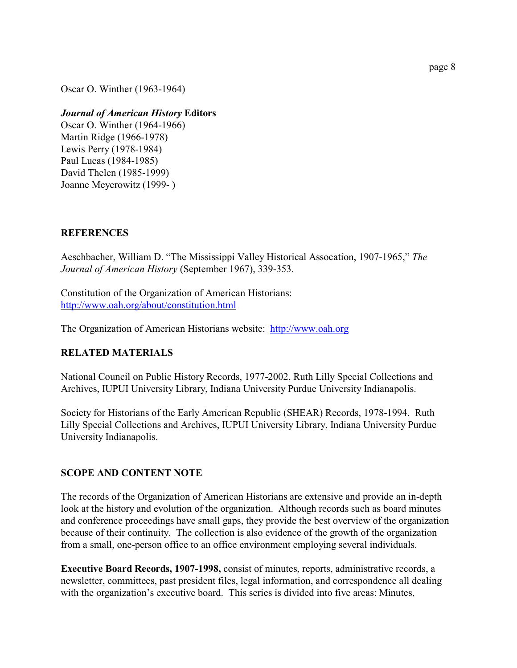Oscar O. Winther (1963-1964)

#### *Journal of American History* **Editors**

Oscar O. Winther (1964-1966) Martin Ridge (1966-1978) Lewis Perry (1978-1984) Paul Lucas (1984-1985) David Thelen (1985-1999) Joanne Meyerowitz (1999- )

#### **REFERENCES**

Aeschbacher, William D. "The Mississippi Valley Historical Assocation, 1907-1965," *The Journal of American History* (September 1967), 339-353.

Constitution of the Organization of American Historians: <http://www.oah.org/about/constitution.html>

The Organization of American Historians website: http://www.oah.org

### **RELATED MATERIALS**

National Council on Public History Records, 1977-2002, Ruth Lilly Special Collections and Archives, IUPUI University Library, Indiana University Purdue University Indianapolis.

Society for Historians of the Early American Republic (SHEAR) Records, 1978-1994, Ruth Lilly Special Collections and Archives, IUPUI University Library, Indiana University Purdue University Indianapolis.

### **SCOPE AND CONTENT NOTE**

The records of the Organization of American Historians are extensive and provide an in-depth look at the history and evolution of the organization. Although records such as board minutes and conference proceedings have small gaps, they provide the best overview of the organization because of their continuity. The collection is also evidence of the growth of the organization from a small, one-person office to an office environment employing several individuals.

**Executive Board Records, 1907-1998,** consist of minutes, reports, administrative records, a newsletter, committees, past president files, legal information, and correspondence all dealing with the organization's executive board. This series is divided into five areas: Minutes,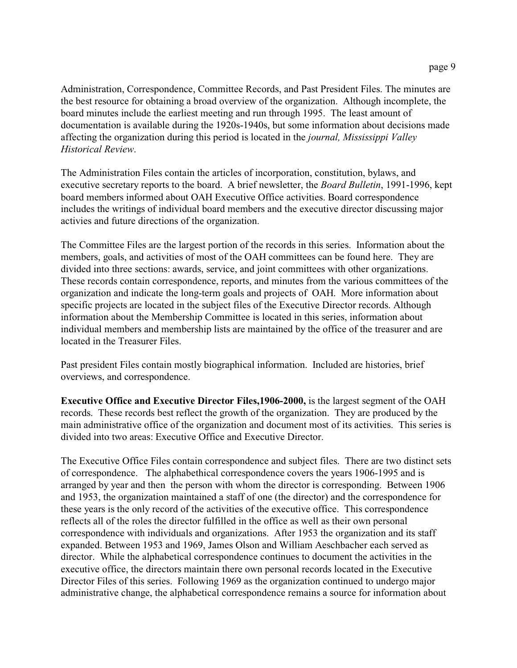Administration, Correspondence, Committee Records, and Past President Files. The minutes are the best resource for obtaining a broad overview of the organization. Although incomplete, the board minutes include the earliest meeting and run through 1995. The least amount of documentation is available during the 1920s-1940s, but some information about decisions made affecting the organization during this period is located in the *journal, Mississippi Valley Historical Review*.

The Administration Files contain the articles of incorporation, constitution, bylaws, and executive secretary reports to the board. A brief newsletter, the *Board Bulletin*, 1991-1996, kept board members informed about OAH Executive Office activities. Board correspondence includes the writings of individual board members and the executive director discussing major activies and future directions of the organization.

The Committee Files are the largest portion of the records in this series. Information about the members, goals, and activities of most of the OAH committees can be found here. They are divided into three sections: awards, service, and joint committees with other organizations. These records contain correspondence, reports, and minutes from the various committees of the organization and indicate the long-term goals and projects of OAH. More information about specific projects are located in the subject files of the Executive Director records. Although information about the Membership Committee is located in this series, information about individual members and membership lists are maintained by the office of the treasurer and are located in the Treasurer Files.

Past president Files contain mostly biographical information. Included are histories, brief overviews, and correspondence.

**Executive Office and Executive Director Files,1906-2000,** is the largest segment of the OAH records. These records best reflect the growth of the organization. They are produced by the main administrative office of the organization and document most of its activities. This series is divided into two areas: Executive Office and Executive Director.

The Executive Office Files contain correspondence and subject files. There are two distinct sets of correspondence. The alphabethical correspondence covers the years 1906-1995 and is arranged by year and then the person with whom the director is corresponding. Between 1906 and 1953, the organization maintained a staff of one (the director) and the correspondence for these years is the only record of the activities of the executive office. This correspondence reflects all of the roles the director fulfilled in the office as well as their own personal correspondence with individuals and organizations. After 1953 the organization and its staff expanded. Between 1953 and 1969, James Olson and William Aeschbacher each served as director. While the alphabetical correspondence continues to document the activities in the executive office, the directors maintain there own personal records located in the Executive Director Files of this series. Following 1969 as the organization continued to undergo major administrative change, the alphabetical correspondence remains a source for information about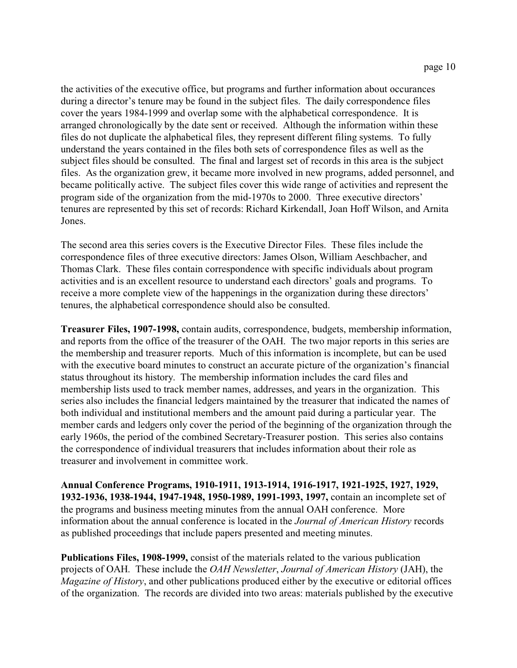the activities of the executive office, but programs and further information about occurances during a director's tenure may be found in the subject files. The daily correspondence files cover the years 1984-1999 and overlap some with the alphabetical correspondence. It is arranged chronologically by the date sent or received. Although the information within these files do not duplicate the alphabetical files, they represent different filing systems. To fully understand the years contained in the files both sets of correspondence files as well as the subject files should be consulted. The final and largest set of records in this area is the subject files. As the organization grew, it became more involved in new programs, added personnel, and became politically active. The subject files cover this wide range of activities and represent the program side of the organization from the mid-1970s to 2000. Three executive directors' tenures are represented by this set of records: Richard Kirkendall, Joan Hoff Wilson, and Arnita Jones.

The second area this series covers is the Executive Director Files. These files include the correspondence files of three executive directors: James Olson, William Aeschbacher, and Thomas Clark. These files contain correspondence with specific individuals about program activities and is an excellent resource to understand each directors' goals and programs. To receive a more complete view of the happenings in the organization during these directors' tenures, the alphabetical correspondence should also be consulted.

**Treasurer Files, 1907-1998,** contain audits, correspondence, budgets, membership information, and reports from the office of the treasurer of the OAH. The two major reports in this series are the membership and treasurer reports. Much of this information is incomplete, but can be used with the executive board minutes to construct an accurate picture of the organization's financial status throughout its history. The membership information includes the card files and membership lists used to track member names, addresses, and years in the organization. This series also includes the financial ledgers maintained by the treasurer that indicated the names of both individual and institutional members and the amount paid during a particular year. The member cards and ledgers only cover the period of the beginning of the organization through the early 1960s, the period of the combined Secretary-Treasurer postion. This series also contains the correspondence of individual treasurers that includes information about their role as treasurer and involvement in committee work.

**Annual Conference Programs, 1910-1911, 1913-1914, 1916-1917, 1921-1925, 1927, 1929, 1932-1936, 1938-1944, 1947-1948, 1950-1989, 1991-1993, 1997,** contain an incomplete set of the programs and business meeting minutes from the annual OAH conference. More information about the annual conference is located in the *Journal of American History* records as published proceedings that include papers presented and meeting minutes.

**Publications Files, 1908-1999,** consist of the materials related to the various publication projects of OAH. These include the *OAH Newsletter*, *Journal of American History* (JAH), the *Magazine of History*, and other publications produced either by the executive or editorial offices of the organization. The records are divided into two areas: materials published by the executive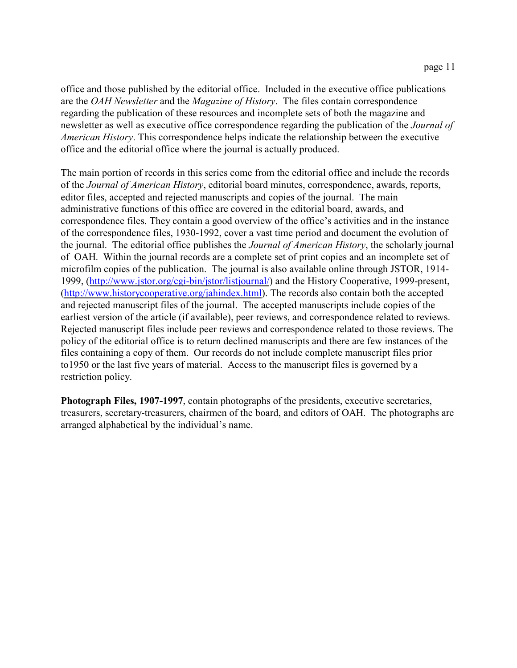office and those published by the editorial office. Included in the executive office publications are the *OAH Newsletter* and the *Magazine of History*. The files contain correspondence regarding the publication of these resources and incomplete sets of both the magazine and newsletter as well as executive office correspondence regarding the publication of the *Journal of American History*. This correspondence helps indicate the relationship between the executive office and the editorial office where the journal is actually produced.

The main portion of records in this series come from the editorial office and include the records of the *Journal of American History*, editorial board minutes, correspondence, awards, reports, editor files, accepted and rejected manuscripts and copies of the journal. The main administrative functions of this office are covered in the editorial board, awards, and correspondence files. They contain a good overview of the office's activities and in the instance of the correspondence files, 1930-1992, cover a vast time period and document the evolution of the journal. The editorial office publishes the *Journal of American History*, the scholarly journal of OAH. Within the journal records are a complete set of print copies and an incomplete set of microfilm copies of the publication. The journal is also available online through JSTOR, 1914- 1999, [\(http://www.jstor.org/cgi-bin/jstor/listjournal/](http://(http://www.jstor.org/cgi-bin/jstor/listjournal/))) and the History Cooperative, 1999-present, [\(http://www.historycooperative.org/jahindex.html](http://(http://www.historycooperative.org/jahindex.html).)). The records also contain both the accepted and rejected manuscript files of the journal. The accepted manuscripts include copies of the earliest version of the article (if available), peer reviews, and correspondence related to reviews. Rejected manuscript files include peer reviews and correspondence related to those reviews. The policy of the editorial office is to return declined manuscripts and there are few instances of the files containing a copy of them. Our records do not include complete manuscript files prior to1950 or the last five years of material. Access to the manuscript files is governed by a restriction policy.

**Photograph Files, 1907-1997**, contain photographs of the presidents, executive secretaries, treasurers, secretary-treasurers, chairmen of the board, and editors of OAH. The photographs are arranged alphabetical by the individual's name.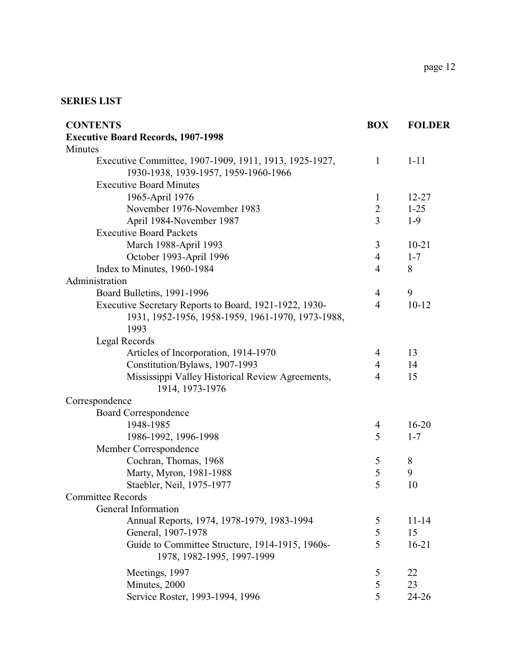## **SERIES LIST**

| <b>CONTENTS</b>                                                               | <b>BOX</b>     | <b>FOLDER</b> |
|-------------------------------------------------------------------------------|----------------|---------------|
| <b>Executive Board Records, 1907-1998</b>                                     |                |               |
| Minutes                                                                       |                |               |
| Executive Committee, 1907-1909, 1911, 1913, 1925-1927,                        | $\mathbf{1}$   | $1 - 11$      |
| 1930-1938, 1939-1957, 1959-1960-1966                                          |                |               |
| <b>Executive Board Minutes</b>                                                |                |               |
| 1965-April 1976                                                               | 1              | $12 - 27$     |
| November 1976-November 1983                                                   | $\mathbf{2}$   | $1 - 25$      |
| April 1984-November 1987                                                      | 3              | $1-9$         |
| <b>Executive Board Packets</b>                                                |                |               |
| March 1988-April 1993                                                         | 3              | $10 - 21$     |
| October 1993-April 1996                                                       | $\overline{4}$ | $1 - 7$       |
| Index to Minutes, 1960-1984                                                   | $\overline{4}$ | 8             |
| Administration                                                                |                |               |
| Board Bulletins, 1991-1996                                                    | 4              | 9             |
| Executive Secretary Reports to Board, 1921-1922, 1930-                        | $\overline{4}$ | $10 - 12$     |
| 1931, 1952-1956, 1958-1959, 1961-1970, 1973-1988,                             |                |               |
| 1993                                                                          |                |               |
| Legal Records                                                                 |                |               |
| Articles of Incorporation, 1914-1970                                          | 4              | 13            |
| Constitution/Bylaws, 1907-1993                                                | 4              | 14            |
| Mississippi Valley Historical Review Agreements,                              | $\overline{4}$ | 15            |
| 1914, 1973-1976                                                               |                |               |
| Correspondence                                                                |                |               |
| <b>Board Correspondence</b>                                                   |                |               |
| 1948-1985                                                                     | 4              | $16 - 20$     |
| 1986-1992, 1996-1998                                                          | 5              | $1 - 7$       |
| Member Correspondence                                                         |                |               |
| Cochran, Thomas, 1968                                                         | 5              | 8             |
| Marty, Myron, 1981-1988                                                       | $\mathfrak s$  | 9             |
| Staebler, Neil, 1975-1977                                                     | 5              | 10            |
| <b>Committee Records</b>                                                      |                |               |
| General Information                                                           |                |               |
| Annual Reports, 1974, 1978-1979, 1983-1994                                    | 5              | $11 - 14$     |
| General, 1907-1978                                                            | 5              | 15            |
| Guide to Committee Structure, 1914-1915, 1960s-<br>1978, 1982-1995, 1997-1999 | 5              | $16 - 21$     |
| Meetings, 1997                                                                | 5              | 22            |
| Minutes, 2000                                                                 | 5              | 23            |
| Service Roster, 1993-1994, 1996                                               | 5              | 24-26         |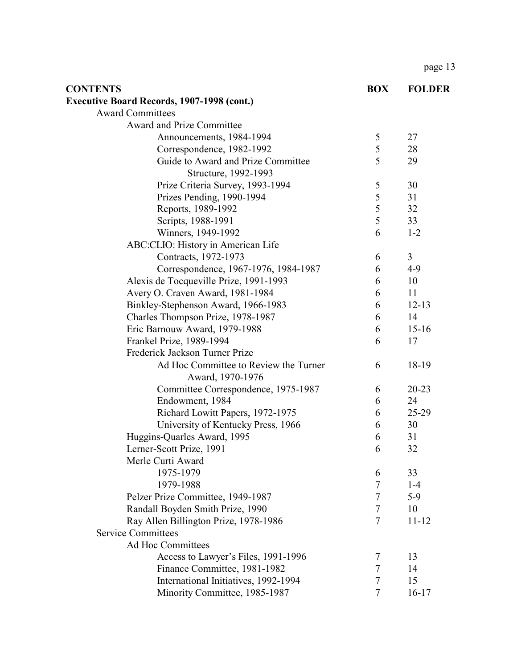| <b>CONTENTS</b>                                   | <b>BOX</b> | <b>FOLDER</b>  |
|---------------------------------------------------|------------|----------------|
| <b>Executive Board Records, 1907-1998 (cont.)</b> |            |                |
| <b>Award Committees</b>                           |            |                |
| <b>Award and Prize Committee</b>                  |            |                |
| Announcements, 1984-1994                          | 5          | 27             |
| Correspondence, 1982-1992                         | 5          | 28             |
| Guide to Award and Prize Committee                | 5          | 29             |
| Structure, 1992-1993                              |            |                |
| Prize Criteria Survey, 1993-1994                  | 5          | 30             |
| Prizes Pending, 1990-1994                         | 5          | 31             |
| Reports, 1989-1992                                | 5          | 32             |
| Scripts, 1988-1991                                | 5          | 33             |
| Winners, 1949-1992                                | 6          | $1 - 2$        |
| ABC:CLIO: History in American Life                |            |                |
| Contracts, 1972-1973                              | 6          | $\overline{3}$ |
| Correspondence, 1967-1976, 1984-1987              | 6          | $4-9$          |
| Alexis de Tocqueville Prize, 1991-1993            | 6          | 10             |
| Avery O. Craven Award, 1981-1984                  | 6          | 11             |
| Binkley-Stephenson Award, 1966-1983               | 6          | $12 - 13$      |
| Charles Thompson Prize, 1978-1987                 | 6          | 14             |
| Eric Barnouw Award, 1979-1988                     | 6          | $15-16$        |
| Frankel Prize, 1989-1994                          | 6          | 17             |
| Frederick Jackson Turner Prize                    |            |                |
| Ad Hoc Committee to Review the Turner             | 6          | 18-19          |
| Award, 1970-1976                                  |            |                |
| Committee Correspondence, 1975-1987               | 6          | $20 - 23$      |
| Endowment, 1984                                   | 6          | 24             |
| Richard Lowitt Papers, 1972-1975                  | 6          | 25-29          |
| University of Kentucky Press, 1966                | 6          | 30             |
| Huggins-Quarles Award, 1995                       | 6          | 31             |
| Lerner-Scott Prize, 1991                          | 6          | 32             |
| Merle Curti Award                                 |            |                |
| 1975-1979                                         | 6          | 33             |
| 1979-1988                                         | 7          | $1-4$          |
| Pelzer Prize Committee, 1949-1987                 | 7          | $5-9$          |
| Randall Boyden Smith Prize, 1990                  | 7          | 10             |
| Ray Allen Billington Prize, 1978-1986             | $\tau$     | $11 - 12$      |
| <b>Service Committees</b>                         |            |                |
| <b>Ad Hoc Committees</b>                          |            |                |
| Access to Lawyer's Files, 1991-1996               | 7          | 13             |
| Finance Committee, 1981-1982                      | 7          | 14             |
| International Initiatives, 1992-1994              | 7          | 15             |
| Minority Committee, 1985-1987                     | 7          | $16-17$        |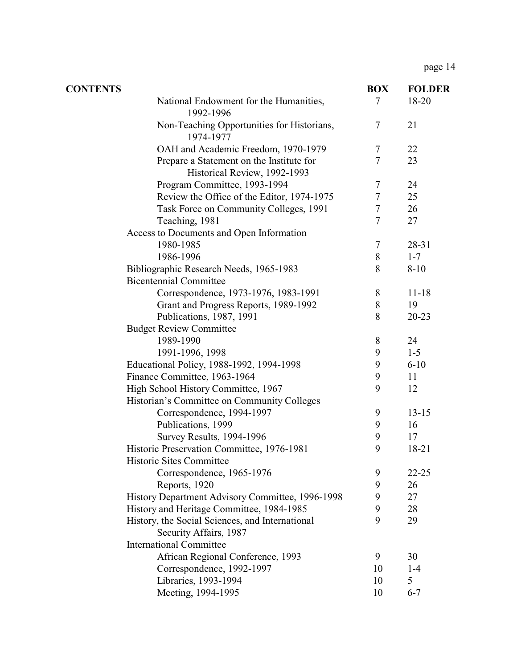| <b>CONTENTS</b> |                                                                          | <b>BOX</b> | <b>FOLDER</b> |
|-----------------|--------------------------------------------------------------------------|------------|---------------|
|                 | National Endowment for the Humanities,<br>1992-1996                      | 7          | 18-20         |
|                 | Non-Teaching Opportunities for Historians,<br>1974-1977                  | 7          | 21            |
|                 | OAH and Academic Freedom, 1970-1979                                      | 7          | 22            |
|                 | Prepare a Statement on the Institute for<br>Historical Review, 1992-1993 | 7          | 23            |
|                 | Program Committee, 1993-1994                                             | 7          | 24            |
|                 | Review the Office of the Editor, 1974-1975                               | 7          | 25            |
|                 | Task Force on Community Colleges, 1991                                   | 7          | 26            |
|                 | Teaching, 1981                                                           | 7          | 27            |
|                 | Access to Documents and Open Information                                 |            |               |
|                 | 1980-1985                                                                | 7          | 28-31         |
|                 | 1986-1996                                                                | 8          | $1 - 7$       |
|                 | Bibliographic Research Needs, 1965-1983                                  | 8          | $8 - 10$      |
|                 | <b>Bicentennial Committee</b>                                            |            |               |
|                 | Correspondence, 1973-1976, 1983-1991                                     | 8          | $11 - 18$     |
|                 | Grant and Progress Reports, 1989-1992                                    | $8\,$      | 19            |
|                 | Publications, 1987, 1991                                                 | 8          | $20 - 23$     |
|                 | <b>Budget Review Committee</b>                                           |            |               |
|                 | 1989-1990                                                                | 8          | 24            |
|                 | 1991-1996, 1998                                                          | 9          | $1 - 5$       |
|                 | Educational Policy, 1988-1992, 1994-1998                                 | 9          | $6 - 10$      |
|                 | Finance Committee, 1963-1964                                             | 9          | 11            |
|                 | High School History Committee, 1967                                      | 9          | 12            |
|                 | Historian's Committee on Community Colleges                              |            |               |
|                 | Correspondence, 1994-1997                                                | 9          | $13 - 15$     |
|                 | Publications, 1999                                                       | 9          | 16            |
|                 | Survey Results, 1994-1996                                                | 9          | 17            |
|                 | Historic Preservation Committee, 1976-1981                               | 9          | 18-21         |
|                 | Historic Sites Committee                                                 |            |               |
|                 | Correspondence, 1965-1976                                                | 9          | $22 - 25$     |
|                 | Reports, 1920                                                            | 9          | 26            |
|                 | History Department Advisory Committee, 1996-1998                         | 9          | 27            |
|                 | History and Heritage Committee, 1984-1985                                | 9          | 28            |
|                 | History, the Social Sciences, and International                          | 9          | 29            |
|                 | Security Affairs, 1987                                                   |            |               |
|                 | <b>International Committee</b>                                           |            |               |
|                 | African Regional Conference, 1993                                        | 9          | 30            |
|                 | Correspondence, 1992-1997                                                | 10         | $1-4$         |
|                 | Libraries, 1993-1994                                                     | 10         | 5             |
|                 | Meeting, 1994-1995                                                       | 10         | $6 - 7$       |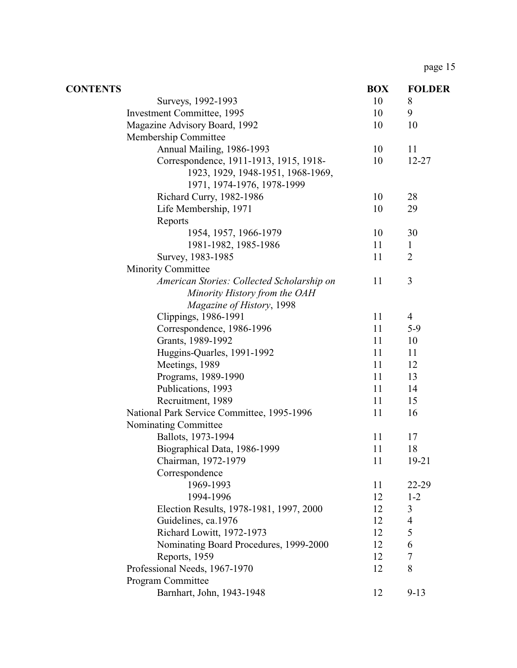| <b>BOX</b> | <b>FOLDER</b>                                      |
|------------|----------------------------------------------------|
| 10         | 8                                                  |
| 10         | 9                                                  |
| 10         | 10                                                 |
|            |                                                    |
| 10         | 11                                                 |
| 10         | 12-27                                              |
|            |                                                    |
|            |                                                    |
| 10         | 28                                                 |
| 10         | 29                                                 |
|            |                                                    |
| 10         | 30                                                 |
|            | $\mathbf{1}$                                       |
|            | $\overline{2}$                                     |
|            |                                                    |
|            | 3                                                  |
|            |                                                    |
|            |                                                    |
|            | $\overline{4}$                                     |
|            | $5-9$                                              |
| 11         | 10                                                 |
|            | 11                                                 |
| 11         | 12                                                 |
| 11         | 13                                                 |
|            | 14                                                 |
|            | 15                                                 |
|            | 16                                                 |
|            |                                                    |
| 11         | 17                                                 |
| 11         | 18                                                 |
| 11         | $19-21$                                            |
|            |                                                    |
| 11         | 22-29                                              |
| 12         | $1 - 2$                                            |
| 12         | 3                                                  |
| 12         | $\overline{4}$                                     |
| 12         | 5                                                  |
| 12         | 6                                                  |
| 12         | $\tau$                                             |
| 12         | 8                                                  |
|            |                                                    |
| 12         | $9 - 13$                                           |
|            | 11<br>11<br>11<br>11<br>11<br>11<br>11<br>11<br>11 |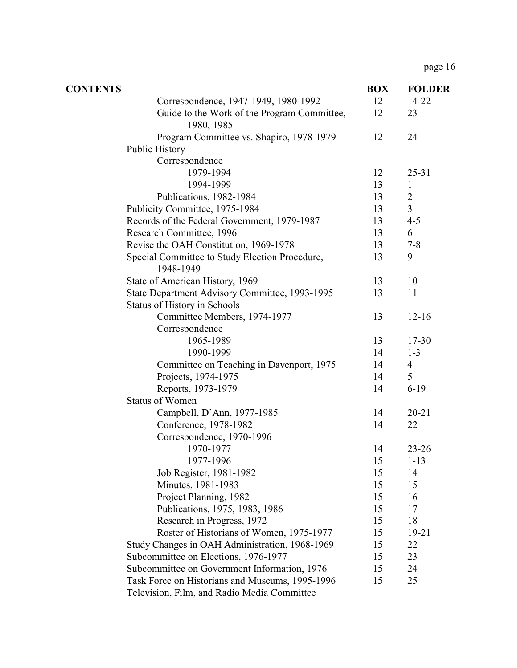| <b>CONTENTS</b> |                                                             | <b>BOX</b> | <b>FOLDER</b>  |
|-----------------|-------------------------------------------------------------|------------|----------------|
|                 | Correspondence, 1947-1949, 1980-1992                        | 12         | 14-22          |
|                 | Guide to the Work of the Program Committee,<br>1980, 1985   | 12         | 23             |
|                 | Program Committee vs. Shapiro, 1978-1979                    | 12         | 24             |
|                 | Public History                                              |            |                |
|                 | Correspondence                                              |            |                |
|                 | 1979-1994                                                   | 12         | $25 - 31$      |
|                 | 1994-1999                                                   | 13         | $\mathbf{1}$   |
|                 | Publications, 1982-1984                                     | 13         | $\overline{2}$ |
|                 | Publicity Committee, 1975-1984                              | 13         | $\overline{3}$ |
|                 | Records of the Federal Government, 1979-1987                | 13         | $4 - 5$        |
|                 | Research Committee, 1996                                    | 13         | 6              |
|                 | Revise the OAH Constitution, 1969-1978                      | 13         | $7 - 8$        |
|                 | Special Committee to Study Election Procedure,<br>1948-1949 | 13         | 9              |
|                 | State of American History, 1969                             | 13         | 10             |
|                 | State Department Advisory Committee, 1993-1995              | 13         | 11             |
|                 | <b>Status of History in Schools</b>                         |            |                |
|                 | Committee Members, 1974-1977                                | 13         | $12 - 16$      |
|                 | Correspondence                                              |            |                |
|                 | 1965-1989                                                   | 13         | $17 - 30$      |
|                 | 1990-1999                                                   | 14         | $1 - 3$        |
|                 | Committee on Teaching in Davenport, 1975                    | 14         | $\overline{4}$ |
|                 | Projects, 1974-1975                                         | 14         | 5              |
|                 | Reports, 1973-1979                                          | 14         | $6-19$         |
|                 | <b>Status of Women</b>                                      |            |                |
|                 | Campbell, D'Ann, 1977-1985                                  | 14         | $20 - 21$      |
|                 | Conference, 1978-1982                                       | 14         | 22             |
|                 | Correspondence, 1970-1996                                   |            |                |
|                 | 1970-1977                                                   | 14         | $23 - 26$      |
|                 | 1977-1996                                                   | 15         | $1 - 13$       |
|                 | Job Register, 1981-1982                                     | 15         | 14             |
|                 | Minutes, 1981-1983                                          | 15         | 15             |
|                 | Project Planning, 1982                                      | 15         | 16             |
|                 | Publications, 1975, 1983, 1986                              | 15         | 17             |
|                 | Research in Progress, 1972                                  | 15         | 18             |
|                 | Roster of Historians of Women, 1975-1977                    | 15         | $19 - 21$      |
|                 | Study Changes in OAH Administration, 1968-1969              | 15         | 22             |
|                 | Subcommittee on Elections, 1976-1977                        | 15         | 23             |
|                 | Subcommittee on Government Information, 1976                | 15         | 24             |
|                 | Task Force on Historians and Museums, 1995-1996             | 15         | 25             |
|                 | Television, Film, and Radio Media Committee                 |            |                |
|                 |                                                             |            |                |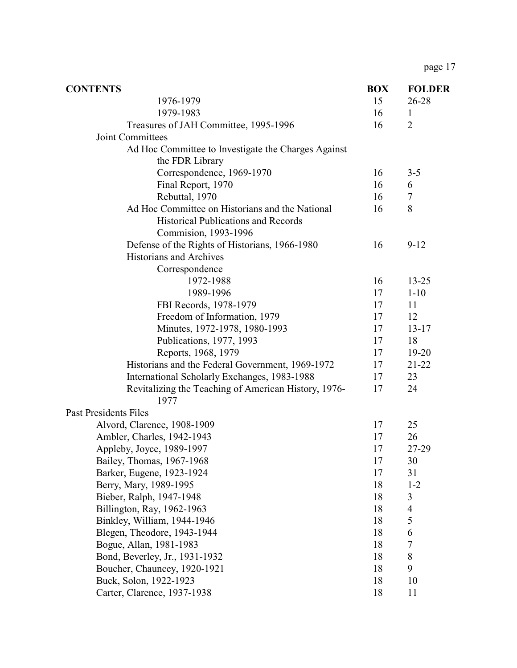| <b>CONTENTS</b>                                              | <b>BOX</b> | <b>FOLDER</b>  |
|--------------------------------------------------------------|------------|----------------|
| 1976-1979                                                    | 15         | 26-28          |
| 1979-1983                                                    | 16         | $\mathbf{1}$   |
| Treasures of JAH Committee, 1995-1996                        | 16         | $\overline{2}$ |
| Joint Committees                                             |            |                |
| Ad Hoc Committee to Investigate the Charges Against          |            |                |
| the FDR Library                                              |            |                |
| Correspondence, 1969-1970                                    | 16         | $3 - 5$        |
| Final Report, 1970                                           | 16         | 6              |
| Rebuttal, 1970                                               | 16         | $\tau$         |
| Ad Hoc Committee on Historians and the National              | 16         | 8              |
| <b>Historical Publications and Records</b>                   |            |                |
| Commision, 1993-1996                                         |            |                |
| Defense of the Rights of Historians, 1966-1980               | 16         | $9-12$         |
| <b>Historians and Archives</b>                               |            |                |
| Correspondence                                               |            |                |
| 1972-1988                                                    | 16         | $13 - 25$      |
| 1989-1996                                                    | 17         | $1 - 10$       |
| FBI Records, 1978-1979                                       | 17         | 11             |
| Freedom of Information, 1979                                 | 17         | 12             |
| Minutes, 1972-1978, 1980-1993                                | 17         | $13 - 17$      |
| Publications, 1977, 1993                                     | 17         | 18             |
| Reports, 1968, 1979                                          | 17         | 19-20          |
| Historians and the Federal Government, 1969-1972             | 17         | $21 - 22$      |
| International Scholarly Exchanges, 1983-1988                 | 17         | 23             |
| Revitalizing the Teaching of American History, 1976-<br>1977 | 17         | 24             |
| <b>Past Presidents Files</b>                                 |            |                |
| Alvord, Clarence, 1908-1909                                  | 17         | 25             |
| Ambler, Charles, 1942-1943                                   | 17         | 26             |
| Appleby, Joyce, 1989-1997                                    | 17         | 27-29          |
| Bailey, Thomas, 1967-1968                                    | 17         | 30             |
| Barker, Eugene, 1923-1924                                    | 17         | 31             |
| Berry, Mary, 1989-1995                                       | 18         | $1 - 2$        |
| Bieber, Ralph, 1947-1948                                     | 18         | 3              |
| Billington, Ray, 1962-1963                                   | 18         | 4              |
| Binkley, William, 1944-1946                                  | 18         | 5              |
| Blegen, Theodore, 1943-1944                                  | 18         | 6              |
| Bogue, Allan, 1981-1983                                      | 18         | 7              |
| Bond, Beverley, Jr., 1931-1932                               | 18         | 8              |
| Boucher, Chauncey, 1920-1921                                 | 18         | 9              |
| Buck, Solon, 1922-1923                                       | 18         | 10             |
| Carter, Clarence, 1937-1938                                  | 18         | 11             |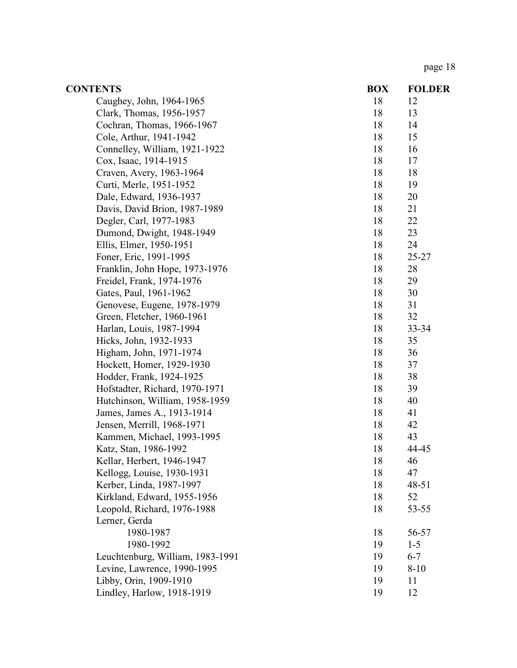| <b>CONTENTS</b>                  | <b>BOX</b> | <b>FOLDER</b> |
|----------------------------------|------------|---------------|
| Caughey, John, 1964-1965         | 18         | 12            |
| Clark, Thomas, 1956-1957         | 18         | 13            |
| Cochran, Thomas, 1966-1967       | 18         | 14            |
| Cole, Arthur, 1941-1942          | 18         | 15            |
| Connelley, William, 1921-1922    | 18         | 16            |
| Cox, Isaac, 1914-1915            | 18         | 17            |
| Craven, Avery, 1963-1964         | 18         | 18            |
| Curti, Merle, 1951-1952          | 18         | 19            |
| Dale, Edward, 1936-1937          | 18         | 20            |
| Davis, David Brion, 1987-1989    | 18         | 21            |
| Degler, Carl, 1977-1983          | 18         | 22            |
| Dumond, Dwight, 1948-1949        | 18         | 23            |
| Ellis, Elmer, 1950-1951          | 18         | 24            |
| Foner, Eric, 1991-1995           | 18         | 25-27         |
| Franklin, John Hope, 1973-1976   | 18         | 28            |
| Freidel, Frank, 1974-1976        | 18         | 29            |
| Gates, Paul, 1961-1962           | 18         | 30            |
| Genovese, Eugene, 1978-1979      | 18         | 31            |
| Green, Fletcher, 1960-1961       | 18         | 32            |
| Harlan, Louis, 1987-1994         | 18         | 33-34         |
| Hicks, John, 1932-1933           | 18         | 35            |
| Higham, John, 1971-1974          | 18         | 36            |
| Hockett, Homer, 1929-1930        | 18         | 37            |
| Hodder, Frank, 1924-1925         | 18         | 38            |
| Hofstadter, Richard, 1970-1971   | 18         | 39            |
| Hutchinson, William, 1958-1959   | 18         | 40            |
| James, James A., 1913-1914       | 18         | 41            |
| Jensen, Merrill, 1968-1971       | 18         | 42            |
| Kammen, Michael, 1993-1995       | 18         | 43            |
| Katz, Stan, 1986-1992            | 18         | 44-45         |
| Kellar, Herbert, 1946-1947       | 18         | 46            |
| Kellogg, Louise, 1930-1931       | 18         | 47            |
| Kerber, Linda, 1987-1997         | 18         | $48 - 51$     |
| Kirkland, Edward, 1955-1956      | 18         | 52            |
| Leopold, Richard, 1976-1988      | 18         | 53-55         |
| Lerner, Gerda                    |            |               |
| 1980-1987                        | 18         | 56-57         |
| 1980-1992                        | 19         | $1 - 5$       |
| Leuchtenburg, William, 1983-1991 | 19         | $6 - 7$       |
| Levine, Lawrence, 1990-1995      | 19         | $8 - 10$      |
| Libby, Orin, 1909-1910           | 19         | 11            |
| Lindley, Harlow, 1918-1919       | 19         | 12            |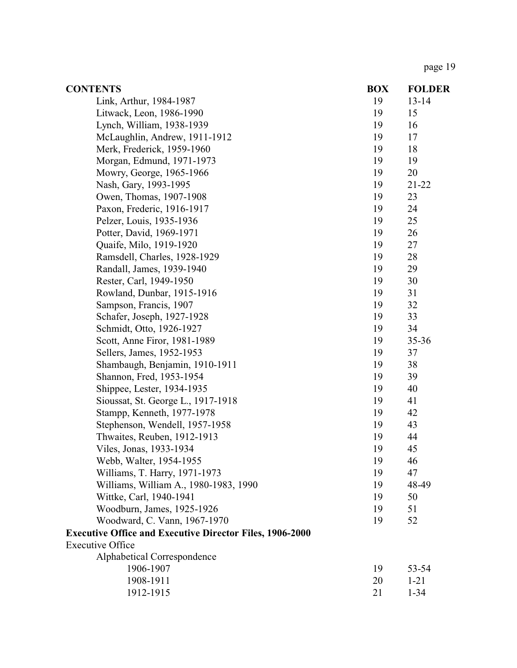| <b>CONTENTS</b>                                                 | <b>BOX</b> | <b>FOLDER</b> |
|-----------------------------------------------------------------|------------|---------------|
| Link, Arthur, 1984-1987                                         | 19         | $13 - 14$     |
| Litwack, Leon, 1986-1990                                        | 19         | 15            |
| Lynch, William, 1938-1939                                       | 19         | 16            |
| McLaughlin, Andrew, 1911-1912                                   | 19         | 17            |
| Merk, Frederick, 1959-1960                                      | 19         | 18            |
| Morgan, Edmund, 1971-1973                                       | 19         | 19            |
| Mowry, George, 1965-1966                                        | 19         | 20            |
| Nash, Gary, 1993-1995                                           | 19         | $21 - 22$     |
| Owen, Thomas, 1907-1908                                         | 19         | 23            |
| Paxon, Frederic, 1916-1917                                      | 19         | 24            |
| Pelzer, Louis, 1935-1936                                        | 19         | 25            |
| Potter, David, 1969-1971                                        | 19         | 26            |
| Quaife, Milo, 1919-1920                                         | 19         | 27            |
| Ramsdell, Charles, 1928-1929                                    | 19         | 28            |
| Randall, James, 1939-1940                                       | 19         | 29            |
| Rester, Carl, 1949-1950                                         | 19         | 30            |
| Rowland, Dunbar, 1915-1916                                      | 19         | 31            |
| Sampson, Francis, 1907                                          | 19         | 32            |
| Schafer, Joseph, 1927-1928                                      | 19         | 33            |
| Schmidt, Otto, 1926-1927                                        | 19         | 34            |
| Scott, Anne Firor, 1981-1989                                    | 19         | 35-36         |
| Sellers, James, 1952-1953                                       | 19         | 37            |
| Shambaugh, Benjamin, 1910-1911                                  | 19         | 38            |
| Shannon, Fred, 1953-1954                                        | 19         | 39            |
| Shippee, Lester, 1934-1935                                      | 19         | 40            |
| Sioussat, St. George L., 1917-1918                              | 19         | 41            |
| Stampp, Kenneth, 1977-1978                                      | 19         | 42            |
| Stephenson, Wendell, 1957-1958                                  | 19         | 43            |
| Thwaites, Reuben, 1912-1913                                     | 19         | 44            |
| Viles, Jonas, 1933-1934                                         | 19         | 45            |
| Webb, Walter, 1954-1955                                         | 19         | 46            |
| Williams, T. Harry, 1971-1973                                   | 19         | 47            |
| Williams, William A., 1980-1983, 1990                           | 19         | 48-49         |
| Wittke, Carl, 1940-1941                                         | 19         | 50            |
| Woodburn, James, 1925-1926                                      | 19         | 51            |
| Woodward, C. Vann, 1967-1970                                    | 19         | 52            |
| <b>Executive Office and Executive Director Files, 1906-2000</b> |            |               |
| <b>Executive Office</b>                                         |            |               |
| Alphabetical Correspondence                                     |            |               |
| 1906-1907                                                       | 19         | 53-54         |
| 1908-1911                                                       | 20         | $1 - 21$      |
| 1912-1915                                                       | 21         | $1 - 34$      |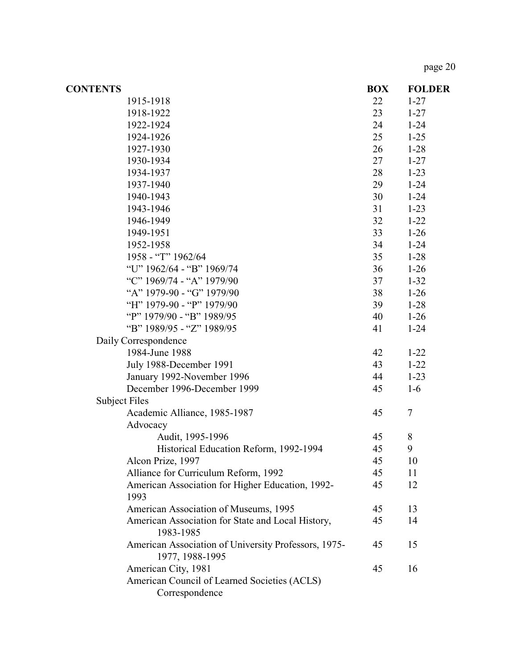| <b>CONTENTS</b>                                                         | <b>BOX</b> | <b>FOLDER</b>  |
|-------------------------------------------------------------------------|------------|----------------|
| 1915-1918                                                               | 22         | $1 - 27$       |
| 1918-1922                                                               | 23         | $1 - 27$       |
| 1922-1924                                                               | 24         | $1 - 24$       |
| 1924-1926                                                               | 25         | $1 - 25$       |
| 1927-1930                                                               | 26         | $1 - 28$       |
| 1930-1934                                                               | 27         | $1 - 27$       |
| 1934-1937                                                               | 28         | $1 - 23$       |
| 1937-1940                                                               | 29         | $1 - 24$       |
| 1940-1943                                                               | 30         | $1 - 24$       |
| 1943-1946                                                               | 31         | $1 - 23$       |
| 1946-1949                                                               | 32         | $1 - 22$       |
| 1949-1951                                                               | 33         | $1-26$         |
| 1952-1958                                                               | 34         | $1 - 24$       |
| 1958 - "T" 1962/64                                                      | 35         | $1 - 28$       |
| "U" 1962/64 - "B" 1969/74                                               | 36         | $1-26$         |
| "C" 1969/74 - "A" 1979/90                                               | 37         | $1 - 32$       |
| "A" 1979-90 - "G" 1979/90                                               | 38         | $1-26$         |
| "H" 1979-90 - "P" 1979/90                                               | 39         | $1 - 28$       |
| "P" 1979/90 - "B" 1989/95                                               | 40         | $1-26$         |
| "B" 1989/95 - "Z" 1989/95                                               | 41         | $1 - 24$       |
| Daily Correspondence                                                    |            |                |
| 1984-June 1988                                                          | 42         | $1 - 22$       |
| July 1988-December 1991                                                 | 43         | $1 - 22$       |
| January 1992-November 1996                                              | 44         | $1 - 23$       |
| December 1996-December 1999                                             | 45         | $1-6$          |
| <b>Subject Files</b>                                                    |            |                |
| Academic Alliance, 1985-1987                                            | 45         | $\overline{7}$ |
| Advocacy                                                                |            |                |
| Audit, 1995-1996                                                        | 45         | $8\,$          |
| Historical Education Reform, 1992-1994                                  | 45         | 9              |
| Alcon Prize, 1997                                                       | 45         | 10             |
| Alliance for Curriculum Reform, 1992                                    | 45         | 11             |
| American Association for Higher Education, 1992-<br>1993                | 45         | 12             |
| American Association of Museums, 1995                                   | 45         | 13             |
| American Association for State and Local History,<br>1983-1985          | 45         | 14             |
| American Association of University Professors, 1975-<br>1977, 1988-1995 | 45         | 15             |
| American City, 1981                                                     | 45         | 16             |
| American Council of Learned Societies (ACLS)                            |            |                |
| Correspondence                                                          |            |                |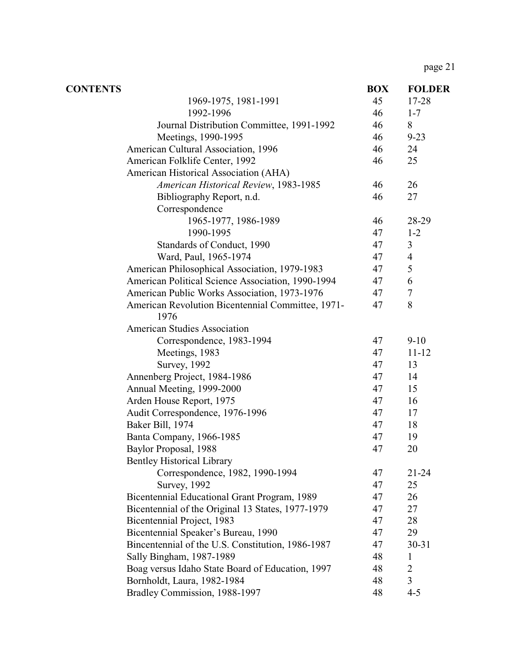| <b>CONTENTS</b> |                                                           | <b>BOX</b> | <b>FOLDER</b>    |
|-----------------|-----------------------------------------------------------|------------|------------------|
|                 | 1969-1975, 1981-1991                                      | 45         | 17-28            |
|                 | 1992-1996                                                 | 46         | $1 - 7$          |
|                 | Journal Distribution Committee, 1991-1992                 | 46         | 8                |
|                 | Meetings, 1990-1995                                       | 46         | $9 - 23$         |
|                 | American Cultural Association, 1996                       | 46         | 24               |
|                 | American Folklife Center, 1992                            | 46         | 25               |
|                 | American Historical Association (AHA)                     |            |                  |
|                 | <b>American Historical Review, 1983-1985</b>              | 46         | 26               |
|                 | Bibliography Report, n.d.                                 | 46         | 27               |
|                 | Correspondence                                            |            |                  |
|                 | 1965-1977, 1986-1989                                      | 46         | 28-29            |
|                 | 1990-1995                                                 | 47         | $1 - 2$          |
|                 | Standards of Conduct, 1990                                | 47         | 3                |
|                 | Ward, Paul, 1965-1974                                     | 47         | $\overline{4}$   |
|                 | American Philosophical Association, 1979-1983             | 47         | 5                |
|                 | American Political Science Association, 1990-1994         | 47         | 6                |
|                 | American Public Works Association, 1973-1976              | 47         | $\boldsymbol{7}$ |
|                 | American Revolution Bicentennial Committee, 1971-<br>1976 | 47         | 8                |
|                 | <b>American Studies Association</b>                       |            |                  |
|                 | Correspondence, 1983-1994                                 | 47         | $9-10$           |
|                 | Meetings, 1983                                            | 47         | $11 - 12$        |
|                 | <b>Survey</b> , 1992                                      | 47         | 13               |
|                 | Annenberg Project, 1984-1986                              | 47         | 14               |
|                 | Annual Meeting, 1999-2000                                 | 47         | 15               |
|                 | Arden House Report, 1975                                  | 47         | 16               |
|                 | Audit Correspondence, 1976-1996                           | 47         | 17               |
|                 | Baker Bill, 1974                                          | 47         | 18               |
|                 | Banta Company, 1966-1985                                  | 47         | 19               |
|                 | Baylor Proposal, 1988                                     | 47         | 20               |
|                 | <b>Bentley Historical Library</b>                         |            |                  |
|                 | Correspondence, 1982, 1990-1994                           | 47         | $21 - 24$        |
|                 | <b>Survey</b> , 1992                                      | 47         | 25               |
|                 | Bicentennial Educational Grant Program, 1989              | 47         | 26               |
|                 | Bicentennial of the Original 13 States, 1977-1979         | 47         | 27               |
|                 | Bicentennial Project, 1983                                | 47         | 28               |
|                 | Bicentennial Speaker's Bureau, 1990                       | 47         | 29               |
|                 | Bincentennial of the U.S. Constitution, 1986-1987         | 47         | $30 - 31$        |
|                 | Sally Bingham, 1987-1989                                  | 48         | 1                |
|                 | Boag versus Idaho State Board of Education, 1997          | 48         | $\overline{2}$   |
|                 | Bornholdt, Laura, 1982-1984                               | 48         | $\overline{3}$   |
|                 | Bradley Commission, 1988-1997                             | 48         | $4 - 5$          |
|                 |                                                           |            |                  |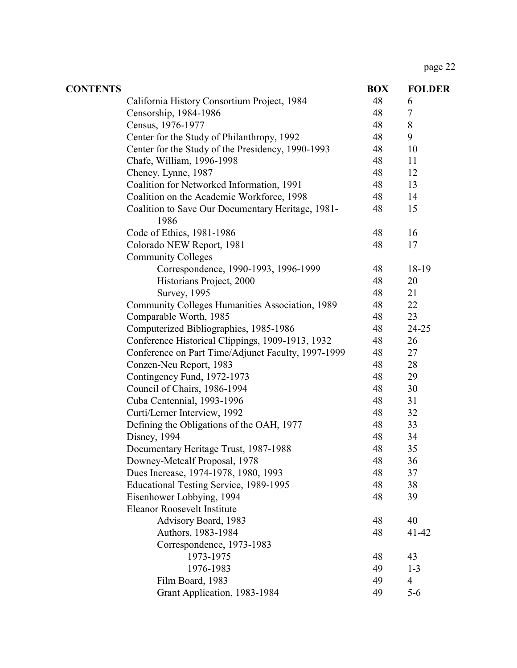| <b>CONTENTS</b> |                                                           | <b>BOX</b> | <b>FOLDER</b> |
|-----------------|-----------------------------------------------------------|------------|---------------|
|                 | California History Consortium Project, 1984               | 48         | 6             |
|                 | Censorship, 1984-1986                                     | 48         | $\tau$        |
|                 | Census, 1976-1977                                         | 48         | $8\,$         |
|                 | Center for the Study of Philanthropy, 1992                | 48         | 9             |
|                 | Center for the Study of the Presidency, 1990-1993         | 48         | 10            |
|                 | Chafe, William, 1996-1998                                 | 48         | 11            |
|                 | Cheney, Lynne, 1987                                       | 48         | 12            |
|                 | Coalition for Networked Information, 1991                 | 48         | 13            |
|                 | Coalition on the Academic Workforce, 1998                 | 48         | 14            |
|                 | Coalition to Save Our Documentary Heritage, 1981-<br>1986 | 48         | 15            |
|                 | Code of Ethics, 1981-1986                                 | 48         | 16            |
|                 | Colorado NEW Report, 1981                                 | 48         | 17            |
|                 | <b>Community Colleges</b>                                 |            |               |
|                 | Correspondence, 1990-1993, 1996-1999                      | 48         | 18-19         |
|                 | Historians Project, 2000                                  | 48         | 20            |
|                 | <b>Survey</b> , 1995                                      | 48         | 21            |
|                 | Community Colleges Humanities Association, 1989           | 48         | 22            |
|                 | Comparable Worth, 1985                                    | 48         | 23            |
|                 | Computerized Bibliographies, 1985-1986                    | 48         | 24-25         |
|                 | Conference Historical Clippings, 1909-1913, 1932          | 48         | 26            |
|                 | Conference on Part Time/Adjunct Faculty, 1997-1999        | 48         | 27            |
|                 | Conzen-Neu Report, 1983                                   | 48         | 28            |
|                 | Contingency Fund, 1972-1973                               | 48         | 29            |
|                 | Council of Chairs, 1986-1994                              | 48         | 30            |
|                 | Cuba Centennial, 1993-1996                                | 48         | 31            |
|                 | Curti/Lerner Interview, 1992                              | 48         | 32            |
|                 | Defining the Obligations of the OAH, 1977                 | 48         | 33            |
|                 | Disney, 1994                                              | 48         | 34            |
|                 | Documentary Heritage Trust, 1987-1988                     | 48         | 35            |
|                 | Downey-Metcalf Proposal, 1978                             | 48         | 36            |
|                 | Dues Increase, 1974-1978, 1980, 1993                      | 48         | 37            |
|                 | Educational Testing Service, 1989-1995                    | 48         | 38            |
|                 | Eisenhower Lobbying, 1994                                 | 48         | 39            |
|                 | <b>Eleanor Roosevelt Institute</b>                        |            |               |
|                 | Advisory Board, 1983                                      | 48         | 40            |
|                 | Authors, 1983-1984                                        | 48         | 41-42         |
|                 | Correspondence, 1973-1983                                 |            |               |
|                 | 1973-1975                                                 | 48         | 43            |
|                 | 1976-1983                                                 | 49         | $1 - 3$       |
|                 | Film Board, 1983                                          | 49         | 4             |
|                 | Grant Application, 1983-1984                              | 49         | $5-6$         |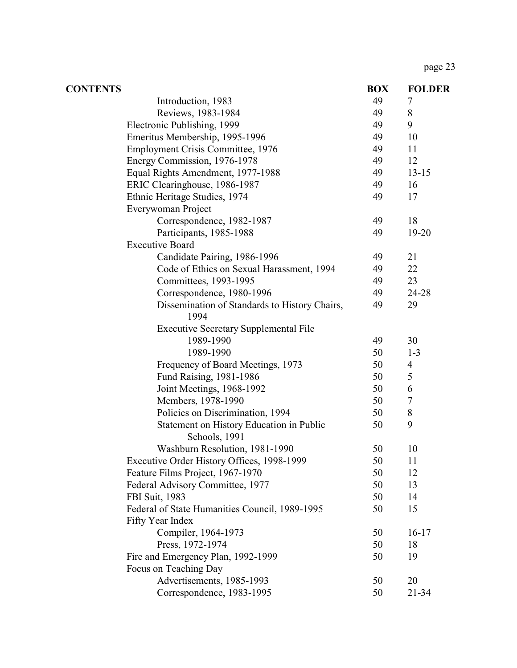| <b>CONTENTS</b>                                           | <b>BOX</b> | <b>FOLDER</b>  |
|-----------------------------------------------------------|------------|----------------|
| Introduction, 1983                                        | 49         | 7              |
| Reviews, 1983-1984                                        | 49         | 8              |
| Electronic Publishing, 1999                               | 49         | 9              |
| Emeritus Membership, 1995-1996                            | 49         | 10             |
| <b>Employment Crisis Committee, 1976</b>                  | 49         | 11             |
| Energy Commission, 1976-1978                              | 49         | 12             |
| Equal Rights Amendment, 1977-1988                         | 49         | $13 - 15$      |
| ERIC Clearinghouse, 1986-1987                             | 49         | 16             |
| Ethnic Heritage Studies, 1974                             | 49         | 17             |
| Everywoman Project                                        |            |                |
| Correspondence, 1982-1987                                 | 49         | 18             |
| Participants, 1985-1988                                   | 49         | $19-20$        |
| <b>Executive Board</b>                                    |            |                |
| Candidate Pairing, 1986-1996                              | 49         | 21             |
| Code of Ethics on Sexual Harassment, 1994                 | 49         | 22             |
| Committees, 1993-1995                                     | 49         | 23             |
| Correspondence, 1980-1996                                 | 49         | 24-28          |
| Dissemination of Standards to History Chairs,<br>1994     | 49         | 29             |
| <b>Executive Secretary Supplemental File</b>              |            |                |
| 1989-1990                                                 | 49         | 30             |
| 1989-1990                                                 | 50         | $1 - 3$        |
| Frequency of Board Meetings, 1973                         | 50         | $\overline{4}$ |
| Fund Raising, 1981-1986                                   | 50         | 5              |
| Joint Meetings, 1968-1992                                 | 50         | 6              |
| Members, 1978-1990                                        | 50         | 7              |
| Policies on Discrimination, 1994                          | 50         | 8              |
| Statement on History Education in Public<br>Schools, 1991 | 50         | 9              |
| Washburn Resolution, 1981-1990                            | 50         | 10             |
| Executive Order History Offices, 1998-1999                | 50         | 11             |
| Feature Films Project, 1967-1970                          | 50         | 12             |
| Federal Advisory Committee, 1977                          | 50         | 13             |
| FBI Suit, 1983                                            | 50         | 14             |
| Federal of State Humanities Council, 1989-1995            | 50         | 15             |
| Fifty Year Index                                          |            |                |
| Compiler, 1964-1973                                       | 50         | $16-17$        |
| Press, 1972-1974                                          | 50         | 18             |
| Fire and Emergency Plan, 1992-1999                        | 50         | 19             |
| Focus on Teaching Day                                     |            |                |
| Advertisements, 1985-1993                                 | 50         | 20             |
| Correspondence, 1983-1995                                 | 50         | $21 - 34$      |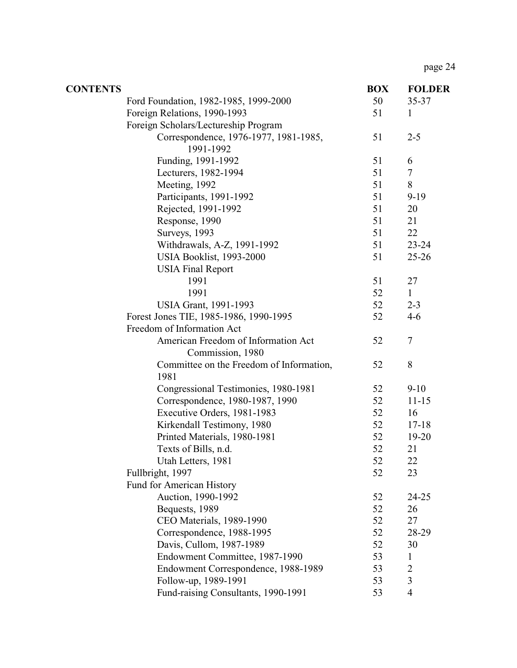| <b>CONTENTS</b> |                                                    | <b>BOX</b> | <b>FOLDER</b>  |
|-----------------|----------------------------------------------------|------------|----------------|
|                 | Ford Foundation, 1982-1985, 1999-2000              | 50         | 35-37          |
|                 | Foreign Relations, 1990-1993                       | 51         | $\mathbf{1}$   |
|                 | Foreign Scholars/Lectureship Program               |            |                |
|                 | Correspondence, 1976-1977, 1981-1985,<br>1991-1992 | 51         | $2 - 5$        |
|                 | Funding, 1991-1992                                 | 51         | 6              |
|                 | Lecturers, 1982-1994                               | 51         | $\tau$         |
|                 | Meeting, 1992                                      | 51         | 8              |
|                 | Participants, 1991-1992                            | 51         | $9-19$         |
|                 | Rejected, 1991-1992                                | 51         | 20             |
|                 | Response, 1990                                     | 51         | 21             |
|                 | Surveys, 1993                                      | 51         | 22             |
|                 | Withdrawals, A-Z, 1991-1992                        | 51         | 23-24          |
|                 | USIA Booklist, 1993-2000                           | 51         | $25 - 26$      |
|                 | <b>USIA Final Report</b>                           |            |                |
|                 | 1991                                               | 51         | 27             |
|                 | 1991                                               | 52         | $\mathbf{1}$   |
|                 | <b>USIA Grant, 1991-1993</b>                       | 52         | $2 - 3$        |
|                 | Forest Jones TIE, 1985-1986, 1990-1995             | 52         | $4-6$          |
|                 | Freedom of Information Act                         |            |                |
|                 | American Freedom of Information Act                | 52         | $\overline{7}$ |
|                 | Commission, 1980                                   |            |                |
|                 | Committee on the Freedom of Information,<br>1981   | 52         | 8              |
|                 | Congressional Testimonies, 1980-1981               | 52         | $9-10$         |
|                 | Correspondence, 1980-1987, 1990                    | 52         | $11 - 15$      |
|                 | Executive Orders, 1981-1983                        | 52         | 16             |
|                 | Kirkendall Testimony, 1980                         | 52         | $17 - 18$      |
|                 | Printed Materials, 1980-1981                       | 52         | $19-20$        |
|                 | Texts of Bills, n.d.                               | 52         | 21             |
|                 | Utah Letters, 1981                                 | 52         | 22             |
|                 | Fullbright, 1997                                   | 52         | 23             |
|                 | Fund for American History                          |            |                |
|                 | Auction, 1990-1992                                 | 52         | 24-25          |
|                 | Bequests, 1989                                     | 52         | 26             |
|                 | CEO Materials, 1989-1990                           | 52         | 27             |
|                 | Correspondence, 1988-1995                          | 52         | 28-29          |
|                 | Davis, Cullom, 1987-1989                           | 52         | 30             |
|                 | Endowment Committee, 1987-1990                     | 53         | $\mathbf{1}$   |
|                 | Endowment Correspondence, 1988-1989                | 53         | $\overline{2}$ |
|                 | Follow-up, 1989-1991                               | 53         | 3              |
|                 | Fund-raising Consultants, 1990-1991                | 53         | $\overline{4}$ |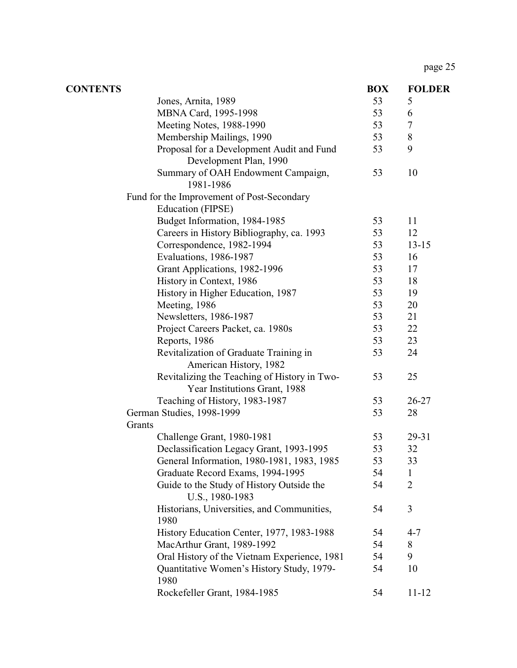| <b>CONTENTS</b> |                                                                               | <b>BOX</b> | <b>FOLDER</b>  |
|-----------------|-------------------------------------------------------------------------------|------------|----------------|
|                 | Jones, Arnita, 1989                                                           | 53         | 5              |
|                 | MBNA Card, 1995-1998                                                          | 53         | 6              |
|                 | Meeting Notes, 1988-1990                                                      | 53         | $\tau$         |
|                 | Membership Mailings, 1990                                                     | 53         | $8\,$          |
|                 | Proposal for a Development Audit and Fund<br>Development Plan, 1990           | 53         | 9              |
|                 | Summary of OAH Endowment Campaign,<br>1981-1986                               | 53         | 10             |
|                 | Fund for the Improvement of Post-Secondary                                    |            |                |
|                 | Education (FIPSE)                                                             |            |                |
|                 | Budget Information, 1984-1985                                                 | 53         | 11             |
|                 | Careers in History Bibliography, ca. 1993                                     | 53         | 12             |
|                 | Correspondence, 1982-1994                                                     | 53         | $13 - 15$      |
|                 | Evaluations, 1986-1987                                                        | 53         | 16             |
|                 | Grant Applications, 1982-1996                                                 | 53         | 17             |
|                 | History in Context, 1986                                                      | 53         | 18             |
|                 | History in Higher Education, 1987                                             | 53         | 19             |
|                 | Meeting, 1986                                                                 | 53         | 20             |
|                 | Newsletters, 1986-1987                                                        | 53         | 21             |
|                 | Project Careers Packet, ca. 1980s                                             | 53         | 22             |
|                 | Reports, 1986                                                                 | 53         | 23             |
|                 | Revitalization of Graduate Training in<br>American History, 1982              | 53         | 24             |
|                 | Revitalizing the Teaching of History in Two-<br>Year Institutions Grant, 1988 | 53         | 25             |
|                 | Teaching of History, 1983-1987                                                | 53         | 26-27          |
|                 | German Studies, 1998-1999<br>Grants                                           | 53         | 28             |
|                 | Challenge Grant, 1980-1981                                                    | 53         | 29-31          |
|                 | Declassification Legacy Grant, 1993-1995                                      | 53         | 32             |
|                 | General Information, 1980-1981, 1983, 1985                                    | 53         | 33             |
|                 | Graduate Record Exams, 1994-1995                                              | 54         | $\mathbf 1$    |
|                 | Guide to the Study of History Outside the<br>U.S., 1980-1983                  | 54         | $\overline{2}$ |
|                 | Historians, Universities, and Communities,<br>1980                            | 54         | 3              |
|                 | History Education Center, 1977, 1983-1988                                     | 54         | $4 - 7$        |
|                 | MacArthur Grant, 1989-1992                                                    | 54         | 8              |
|                 | Oral History of the Vietnam Experience, 1981                                  | 54         | 9              |
|                 | Quantitative Women's History Study, 1979-<br>1980                             | 54         | 10             |
|                 | Rockefeller Grant, 1984-1985                                                  | 54         | $11 - 12$      |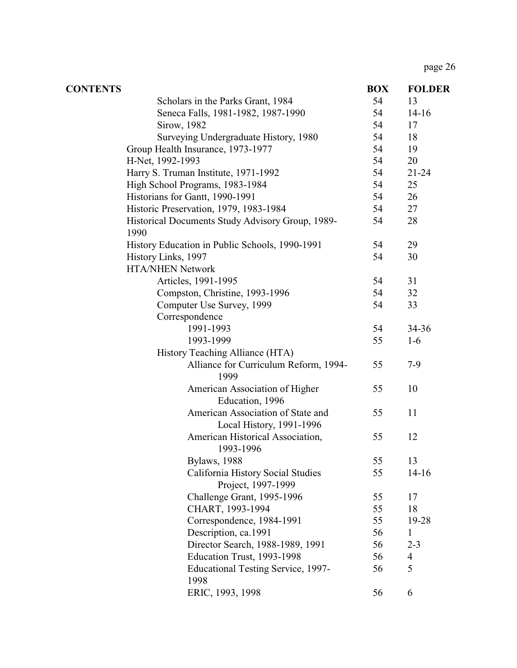| <b>CONTENTS</b> |                                                          | <b>BOX</b> | <b>FOLDER</b> |
|-----------------|----------------------------------------------------------|------------|---------------|
|                 | Scholars in the Parks Grant, 1984                        | 54         | 13            |
|                 | Seneca Falls, 1981-1982, 1987-1990                       | 54         | $14-16$       |
|                 | Sirow, 1982                                              | 54         | 17            |
|                 | Surveying Undergraduate History, 1980                    | 54         | 18            |
|                 | Group Health Insurance, 1973-1977                        | 54         | 19            |
|                 | H-Net, 1992-1993                                         | 54         | 20            |
|                 | Harry S. Truman Institute, 1971-1992                     | 54         | $21 - 24$     |
|                 | High School Programs, 1983-1984                          | 54         | 25            |
|                 | Historians for Gantt, 1990-1991                          | 54         | 26            |
|                 | Historic Preservation, 1979, 1983-1984                   | 54         | 27            |
|                 | Historical Documents Study Advisory Group, 1989-<br>1990 | 54         | 28            |
|                 | History Education in Public Schools, 1990-1991           | 54         | 29            |
|                 | History Links, 1997                                      | 54         | 30            |
|                 | <b>HTA/NHEN Network</b>                                  |            |               |
|                 | Articles, 1991-1995                                      | 54         | 31            |
|                 | Compston, Christine, 1993-1996                           | 54         | 32            |
|                 | Computer Use Survey, 1999                                | 54         | 33            |
|                 | Correspondence                                           |            |               |
|                 | 1991-1993                                                | 54         | 34-36         |
|                 | 1993-1999                                                | 55         | $1-6$         |
|                 | History Teaching Alliance (HTA)                          |            |               |
|                 | Alliance for Curriculum Reform, 1994-<br>1999            | 55         | $7-9$         |
|                 | American Association of Higher                           | 55         | 10            |
|                 | Education, 1996                                          |            |               |
|                 | American Association of State and                        | 55         | 11            |
|                 | Local History, 1991-1996                                 |            |               |
|                 | American Historical Association,                         | 55         | 12            |
|                 | 1993-1996                                                |            |               |
|                 | <b>Bylaws</b> , 1988                                     | 55         | 13            |
|                 | California History Social Studies                        | 55         | $14-16$       |
|                 | Project, 1997-1999                                       |            |               |
|                 | Challenge Grant, 1995-1996                               | 55         | 17            |
|                 | CHART, 1993-1994                                         | 55         | 18            |
|                 | Correspondence, 1984-1991                                | 55         | 19-28         |
|                 | Description, ca.1991                                     | 56         | 1             |
|                 | Director Search, 1988-1989, 1991                         | 56         | $2 - 3$       |
|                 | Education Trust, 1993-1998                               | 56         | 4             |
|                 | Educational Testing Service, 1997-                       | 56         | 5             |
|                 | 1998                                                     |            |               |
|                 | ERIC, 1993, 1998                                         | 56         | 6             |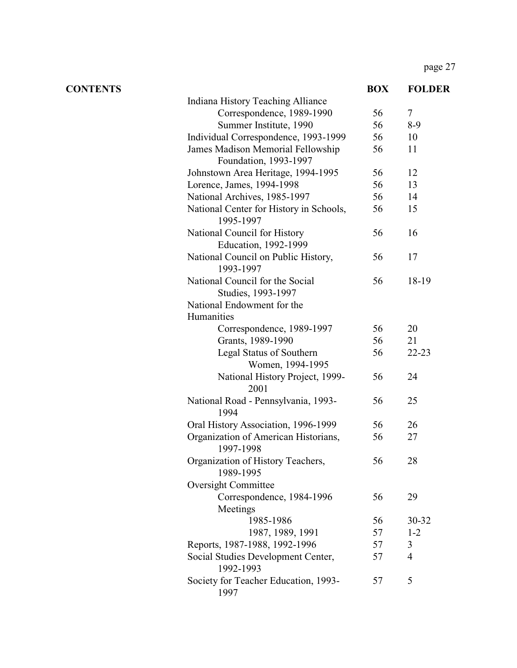| <b>CONTENTS</b> |                                                            | <b>BOX</b> | <b>FOLDER</b>  |
|-----------------|------------------------------------------------------------|------------|----------------|
|                 | Indiana History Teaching Alliance                          |            |                |
|                 | Correspondence, 1989-1990                                  | 56         | $\tau$         |
|                 | Summer Institute, 1990                                     | 56         | $8-9$          |
|                 | Individual Correspondence, 1993-1999                       | 56         | 10             |
|                 | James Madison Memorial Fellowship<br>Foundation, 1993-1997 | 56         | 11             |
|                 | Johnstown Area Heritage, 1994-1995                         | 56         | 12             |
|                 | Lorence, James, 1994-1998                                  | 56         | 13             |
|                 | National Archives, 1985-1997                               | 56         | 14             |
|                 | National Center for History in Schools,<br>1995-1997       | 56         | 15             |
|                 | National Council for History<br>Education, 1992-1999       | 56         | 16             |
|                 | National Council on Public History,<br>1993-1997           | 56         | 17             |
|                 | National Council for the Social<br>Studies, 1993-1997      | 56         | 18-19          |
|                 | National Endowment for the                                 |            |                |
|                 | Humanities                                                 |            |                |
|                 | Correspondence, 1989-1997                                  | 56         | 20             |
|                 | Grants, 1989-1990                                          | 56         | 21             |
|                 | Legal Status of Southern                                   | 56         | $22 - 23$      |
|                 | Women, 1994-1995                                           |            |                |
|                 | National History Project, 1999-<br>2001                    | 56         | 24             |
|                 | National Road - Pennsylvania, 1993-<br>1994                | 56         | 25             |
|                 | Oral History Association, 1996-1999                        | 56         | 26             |
|                 | Organization of American Historians,<br>1997-1998          | 56         | 27             |
|                 | Organization of History Teachers,<br>1989-1995             | 56         | 28             |
|                 | Oversight Committee                                        |            |                |
|                 | Correspondence, 1984-1996<br>Meetings                      | 56         | 29             |
|                 | 1985-1986                                                  | 56         | 30-32          |
|                 | 1987, 1989, 1991                                           | 57         | $1 - 2$        |
|                 | Reports, 1987-1988, 1992-1996                              | 57         | 3              |
|                 | Social Studies Development Center,<br>1992-1993            | 57         | $\overline{4}$ |
|                 | Society for Teacher Education, 1993-<br>1997               | 57         | 5              |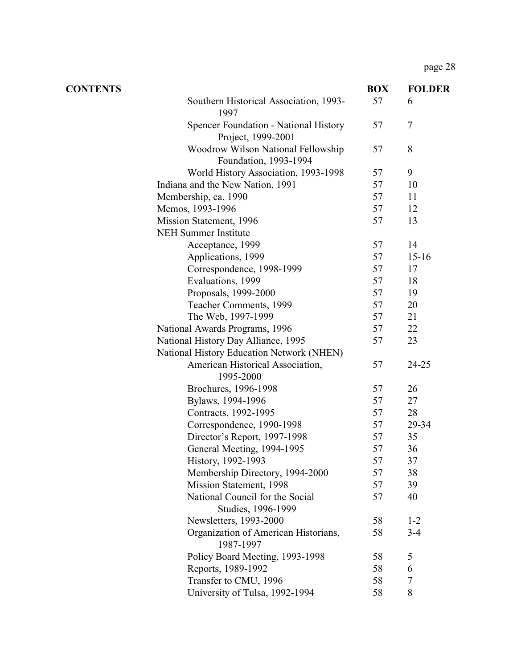| <b>CONTENTS</b> |                                                             | <b>BOX</b> | <b>FOLDER</b> |
|-----------------|-------------------------------------------------------------|------------|---------------|
|                 | Southern Historical Association, 1993-<br>1997              | 57         | 6             |
|                 | Spencer Foundation - National History<br>Project, 1999-2001 | 57         | 7             |
|                 | Woodrow Wilson National Fellowship<br>Foundation, 1993-1994 | 57         | 8             |
|                 | World History Association, 1993-1998                        | 57         | 9             |
|                 | Indiana and the New Nation, 1991                            | 57         | 10            |
|                 | Membership, ca. 1990                                        | 57         | 11            |
|                 | Memos, 1993-1996                                            | 57         | 12            |
|                 | Mission Statement, 1996                                     | 57         | 13            |
|                 | <b>NEH Summer Institute</b>                                 |            |               |
|                 | Acceptance, 1999                                            | 57         | 14            |
|                 | Applications, 1999                                          | 57         | $15 - 16$     |
|                 | Correspondence, 1998-1999                                   | 57         | 17            |
|                 | Evaluations, 1999                                           | 57         | 18            |
|                 | Proposals, 1999-2000                                        | 57         | 19            |
|                 | Teacher Comments, 1999                                      | 57         | 20            |
|                 | The Web, 1997-1999                                          | 57         | 21            |
|                 | National Awards Programs, 1996                              | 57         | 22            |
|                 | National History Day Alliance, 1995                         | 57         | 23            |
|                 | National History Education Network (NHEN)                   |            |               |
|                 | American Historical Association,<br>1995-2000               | 57         | 24-25         |
|                 | Brochures, 1996-1998                                        | 57         | 26            |
|                 | Bylaws, 1994-1996                                           | 57         | 27            |
|                 | Contracts, 1992-1995                                        | 57         | 28            |
|                 | Correspondence, 1990-1998                                   | 57         | 29-34         |
|                 | Director's Report, 1997-1998                                | 57         | 35            |
|                 | General Meeting, 1994-1995                                  | 57         | 36            |
|                 | History, 1992-1993                                          | 57         | 37            |
|                 | Membership Directory, 1994-2000                             | 57         | 38            |
|                 | Mission Statement, 1998                                     | 57         | 39            |
|                 | National Council for the Social<br>Studies, 1996-1999       | 57         | 40            |
|                 | Newsletters, 1993-2000                                      | 58         | $1 - 2$       |
|                 | Organization of American Historians,<br>1987-1997           | 58         | $3-4$         |
|                 | Policy Board Meeting, 1993-1998                             | 58         | 5             |
|                 | Reports, 1989-1992                                          | 58         | 6             |
|                 | Transfer to CMU, 1996                                       | 58         | 7             |
|                 | University of Tulsa, 1992-1994                              | 58         | 8             |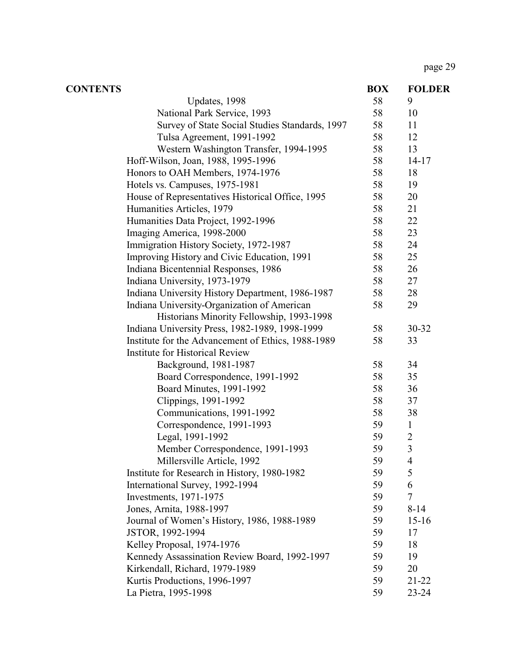| <b>CONTENTS</b> |                                                    | <b>BOX</b> | <b>FOLDER</b>  |
|-----------------|----------------------------------------------------|------------|----------------|
|                 | Updates, 1998                                      | 58         | 9              |
|                 | National Park Service, 1993                        | 58         | 10             |
|                 | Survey of State Social Studies Standards, 1997     | 58         | 11             |
|                 | Tulsa Agreement, 1991-1992                         | 58         | 12             |
|                 | Western Washington Transfer, 1994-1995             | 58         | 13             |
|                 | Hoff-Wilson, Joan, 1988, 1995-1996                 | 58         | $14-17$        |
|                 | Honors to OAH Members, 1974-1976                   | 58         | 18             |
|                 | Hotels vs. Campuses, 1975-1981                     | 58         | 19             |
|                 | House of Representatives Historical Office, 1995   | 58         | 20             |
|                 | Humanities Articles, 1979                          | 58         | 21             |
|                 | Humanities Data Project, 1992-1996                 | 58         | 22             |
|                 | Imaging America, 1998-2000                         | 58         | 23             |
|                 | Immigration History Society, 1972-1987             | 58         | 24             |
|                 | Improving History and Civic Education, 1991        | 58         | 25             |
|                 | Indiana Bicentennial Responses, 1986               | 58         | 26             |
|                 | Indiana University, 1973-1979                      | 58         | 27             |
|                 | Indiana University History Department, 1986-1987   | 58         | 28             |
|                 | Indiana University-Organization of American        | 58         | 29             |
|                 | Historians Minority Fellowship, 1993-1998          |            |                |
|                 | Indiana University Press, 1982-1989, 1998-1999     | 58         | 30-32          |
|                 | Institute for the Advancement of Ethics, 1988-1989 | 58         | 33             |
|                 | <b>Institute for Historical Review</b>             |            |                |
|                 | Background, 1981-1987                              | 58         | 34             |
|                 | Board Correspondence, 1991-1992                    | 58         | 35             |
|                 | Board Minutes, 1991-1992                           | 58         | 36             |
|                 | Clippings, 1991-1992                               | 58         | 37             |
|                 | Communications, 1991-1992                          | 58         | 38             |
|                 | Correspondence, 1991-1993                          | 59         | $\mathbf{1}$   |
|                 | Legal, 1991-1992                                   | 59         | $\frac{2}{3}$  |
|                 | Member Correspondence, 1991-1993                   | 59         |                |
|                 | Millersville Article, 1992                         | 59         | $\overline{4}$ |
|                 | Institute for Research in History, 1980-1982       | 59         | 5              |
|                 | International Survey, 1992-1994                    | 59         | 6              |
|                 | Investments, 1971-1975                             | 59         | 7              |
|                 | Jones, Arnita, 1988-1997                           | 59         | $8 - 14$       |
|                 | Journal of Women's History, 1986, 1988-1989        | 59         | $15-16$        |
|                 | JSTOR, 1992-1994                                   | 59         | 17             |
|                 | Kelley Proposal, 1974-1976                         | 59         | 18             |
|                 | Kennedy Assassination Review Board, 1992-1997      | 59         | 19             |
|                 | Kirkendall, Richard, 1979-1989                     | 59         | 20             |
|                 | Kurtis Productions, 1996-1997                      | 59         | 21-22          |
|                 | La Pietra, 1995-1998                               | 59         | $23 - 24$      |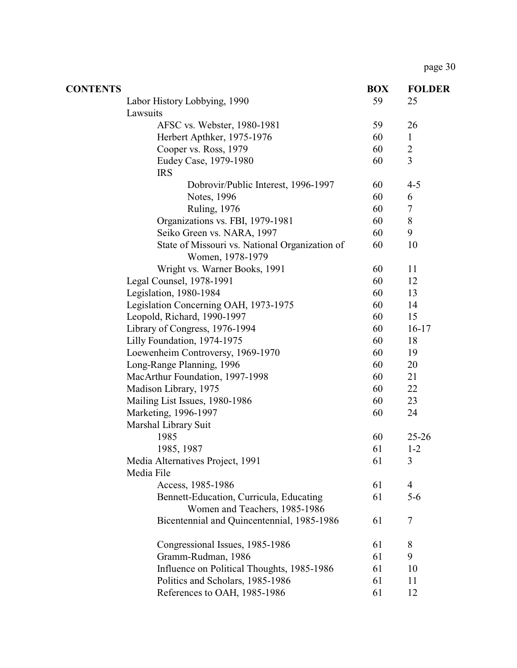| <b>CONTENTS</b> |                                                                    | <b>BOX</b> | <b>FOLDER</b>    |
|-----------------|--------------------------------------------------------------------|------------|------------------|
|                 | Labor History Lobbying, 1990                                       | 59         | 25               |
|                 | Lawsuits                                                           |            |                  |
|                 | AFSC vs. Webster, 1980-1981                                        | 59         | 26               |
|                 | Herbert Apthker, 1975-1976                                         | 60         | $\mathbf{1}$     |
|                 | Cooper vs. Ross, 1979                                              | 60         | $\overline{2}$   |
|                 | Eudey Case, 1979-1980                                              | 60         | $\overline{3}$   |
|                 | <b>IRS</b>                                                         |            |                  |
|                 | Dobrovir/Public Interest, 1996-1997                                | 60         | $4 - 5$          |
|                 | Notes, 1996                                                        | 60         | 6                |
|                 | <b>Ruling</b> , 1976                                               | 60         | $\boldsymbol{7}$ |
|                 | Organizations vs. FBI, 1979-1981                                   | 60         | 8                |
|                 | Seiko Green vs. NARA, 1997                                         | 60         | 9                |
|                 | State of Missouri vs. National Organization of<br>Women, 1978-1979 | 60         | 10               |
|                 | Wright vs. Warner Books, 1991                                      | 60         | 11               |
|                 | Legal Counsel, 1978-1991                                           | 60         | 12               |
|                 | Legislation, 1980-1984                                             | 60         | 13               |
|                 | Legislation Concerning OAH, 1973-1975                              | 60         | 14               |
|                 | Leopold, Richard, 1990-1997                                        | 60         | 15               |
|                 | Library of Congress, 1976-1994                                     | 60         | $16-17$          |
|                 | Lilly Foundation, 1974-1975                                        | 60         | 18               |
|                 | Loewenheim Controversy, 1969-1970                                  | 60         | 19               |
|                 | Long-Range Planning, 1996                                          | 60         | 20               |
|                 | MacArthur Foundation, 1997-1998                                    | 60         | 21               |
|                 | Madison Library, 1975                                              | 60         | 22               |
|                 | Mailing List Issues, 1980-1986                                     | 60         | 23               |
|                 | Marketing, 1996-1997                                               | 60         | 24               |
|                 | Marshal Library Suit                                               |            |                  |
|                 | 1985                                                               | 60         | $25 - 26$        |
|                 | 1985, 1987                                                         | 61         | $1 - 2$          |
|                 | Media Alternatives Project, 1991                                   | 61         | 3                |
|                 | Media File                                                         |            |                  |
|                 | Access, 1985-1986                                                  | 61         | $\overline{4}$   |
|                 | Bennett-Education, Curricula, Educating                            | 61         | $5-6$            |
|                 | Women and Teachers, 1985-1986                                      |            |                  |
|                 | Bicentennial and Quincentennial, 1985-1986                         | 61         | 7                |
|                 | Congressional Issues, 1985-1986                                    | 61         | 8                |
|                 | Gramm-Rudman, 1986                                                 | 61         | 9                |
|                 | Influence on Political Thoughts, 1985-1986                         | 61         | 10               |
|                 | Politics and Scholars, 1985-1986                                   | 61         | 11               |
|                 | References to OAH, 1985-1986                                       | 61         | 12               |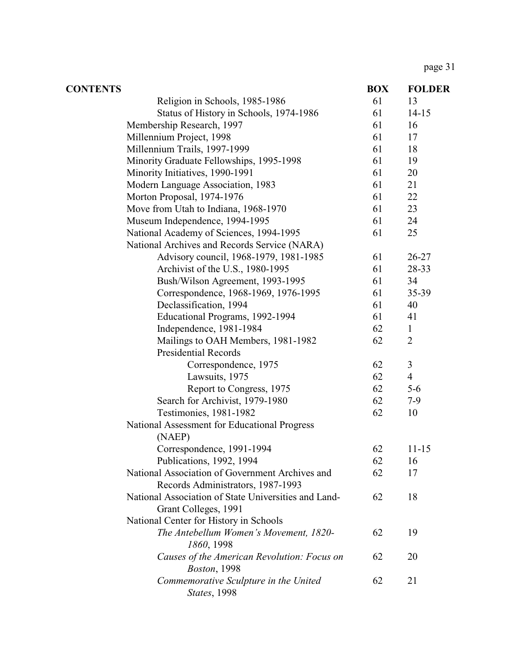| <b>CONTENTS</b> |                                                        | <b>BOX</b> | <b>FOLDER</b>  |
|-----------------|--------------------------------------------------------|------------|----------------|
|                 | Religion in Schools, 1985-1986                         | 61         | 13             |
|                 | Status of History in Schools, 1974-1986                | 61         | $14 - 15$      |
|                 | Membership Research, 1997                              | 61         | 16             |
|                 | Millennium Project, 1998                               | 61         | 17             |
|                 | Millennium Trails, 1997-1999                           | 61         | 18             |
|                 | Minority Graduate Fellowships, 1995-1998               | 61         | 19             |
|                 | Minority Initiatives, 1990-1991                        | 61         | 20             |
|                 | Modern Language Association, 1983                      | 61         | 21             |
|                 | Morton Proposal, 1974-1976                             | 61         | 22             |
|                 | Move from Utah to Indiana, 1968-1970                   | 61         | 23             |
|                 | Museum Independence, 1994-1995                         | 61         | 24             |
|                 | National Academy of Sciences, 1994-1995                | 61         | 25             |
|                 | National Archives and Records Service (NARA)           |            |                |
|                 | Advisory council, 1968-1979, 1981-1985                 | 61         | 26-27          |
|                 | Archivist of the U.S., 1980-1995                       | 61         | 28-33          |
|                 | Bush/Wilson Agreement, 1993-1995                       | 61         | 34             |
|                 | Correspondence, 1968-1969, 1976-1995                   | 61         | 35-39          |
|                 | Declassification, 1994                                 | 61         | 40             |
|                 | Educational Programs, 1992-1994                        | 61         | 41             |
|                 | Independence, 1981-1984                                | 62         | $\mathbf{1}$   |
|                 | Mailings to OAH Members, 1981-1982                     | 62         | $\overline{2}$ |
|                 | <b>Presidential Records</b>                            |            |                |
|                 | Correspondence, 1975                                   | 62         | $\mathfrak{Z}$ |
|                 | Lawsuits, 1975                                         | 62         | $\overline{4}$ |
|                 | Report to Congress, 1975                               | 62         | $5-6$          |
|                 | Search for Archivist, 1979-1980                        | 62         | $7-9$          |
|                 | <b>Testimonies</b> , 1981-1982                         | 62         | 10             |
|                 | National Assessment for Educational Progress<br>(NAEP) |            |                |
|                 | Correspondence, 1991-1994                              | 62         | $11 - 15$      |
|                 | Publications, 1992, 1994                               | 62         | 16             |
|                 | National Association of Government Archives and        | 62         | 17             |
|                 | Records Administrators, 1987-1993                      |            |                |
|                 | National Association of State Universities and Land-   | 62         | 18             |
|                 | Grant Colleges, 1991                                   |            |                |
|                 | National Center for History in Schools                 |            |                |
|                 | The Antebellum Women's Movement, 1820-                 | 62         | 19             |
|                 | 1860, 1998                                             |            |                |
|                 | Causes of the American Revolution: Focus on            | 62         | 20             |
|                 | <b>Boston</b> , 1998                                   |            |                |
|                 | Commemorative Sculpture in the United                  | 62         | 21             |
|                 | States, 1998                                           |            |                |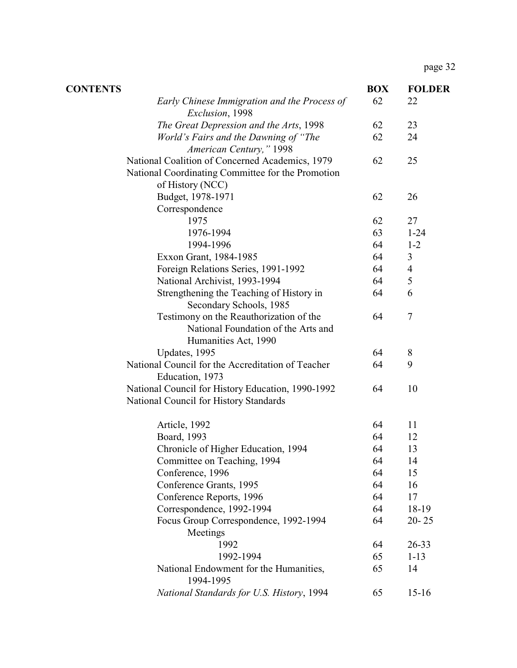| <b>CONTENTS</b> |                                                                                                                          | <b>BOX</b> | <b>FOLDER</b>  |
|-----------------|--------------------------------------------------------------------------------------------------------------------------|------------|----------------|
|                 | Early Chinese Immigration and the Process of<br>Exclusion, 1998                                                          | 62         | 22             |
|                 | The Great Depression and the Arts, 1998                                                                                  | 62         | 23             |
|                 | World's Fairs and the Dawning of "The<br>American Century," 1998                                                         | 62         | 24             |
|                 | National Coalition of Concerned Academics, 1979<br>National Coordinating Committee for the Promotion<br>of History (NCC) | 62         | 25             |
|                 | Budget, 1978-1971<br>Correspondence                                                                                      | 62         | 26             |
|                 | 1975                                                                                                                     | 62         | 27             |
|                 | 1976-1994                                                                                                                | 63         | $1 - 24$       |
|                 | 1994-1996                                                                                                                | 64         | $1 - 2$        |
|                 | Exxon Grant, 1984-1985                                                                                                   | 64         | 3              |
|                 | Foreign Relations Series, 1991-1992                                                                                      | 64         | $\overline{4}$ |
|                 | National Archivist, 1993-1994                                                                                            | 64         | 5              |
|                 | Strengthening the Teaching of History in<br>Secondary Schools, 1985                                                      | 64         | 6              |
|                 | Testimony on the Reauthorization of the<br>National Foundation of the Arts and<br>Humanities Act, 1990                   | 64         | $\tau$         |
|                 | Updates, 1995                                                                                                            | 64         | 8              |
|                 | National Council for the Accreditation of Teacher<br>Education, 1973                                                     | 64         | 9              |
|                 | National Council for History Education, 1990-1992<br>National Council for History Standards                              | 64         | 10             |
|                 | Article, 1992                                                                                                            | 64         | 11             |
|                 | Board, 1993                                                                                                              | 64         | 12             |
|                 | Chronicle of Higher Education, 1994                                                                                      | 64         | 13             |
|                 | Committee on Teaching, 1994                                                                                              | 64         | 14             |
|                 | Conference, 1996                                                                                                         | 64         | 15             |
|                 | Conference Grants, 1995                                                                                                  | 64         | 16             |
|                 | Conference Reports, 1996                                                                                                 | 64         | 17             |
|                 | Correspondence, 1992-1994                                                                                                | 64         | 18-19          |
|                 | Focus Group Correspondence, 1992-1994<br>Meetings                                                                        | 64         | $20 - 25$      |
|                 | 1992                                                                                                                     | 64         | $26 - 33$      |
|                 | 1992-1994                                                                                                                | 65         | $1 - 13$       |
|                 | National Endowment for the Humanities,<br>1994-1995                                                                      | 65         | 14             |
|                 | National Standards for U.S. History, 1994                                                                                | 65         | $15-16$        |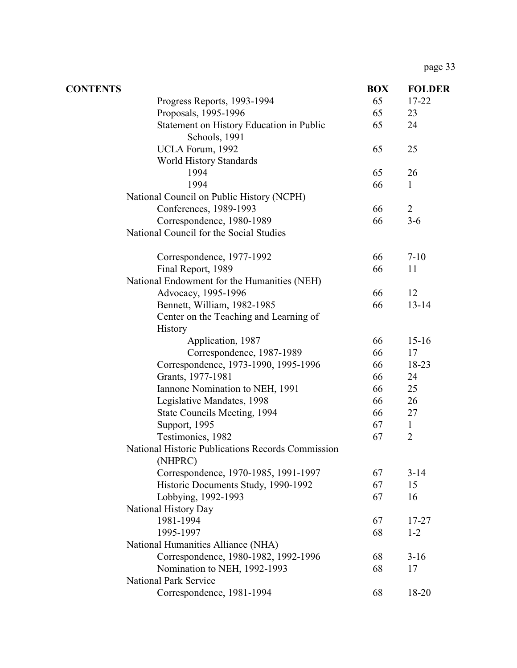| <b>CONTENTS</b> |                                                              | <b>BOX</b> | <b>FOLDER</b>  |
|-----------------|--------------------------------------------------------------|------------|----------------|
|                 | Progress Reports, 1993-1994                                  | 65         | 17-22          |
|                 | Proposals, 1995-1996                                         | 65         | 23             |
|                 | Statement on History Education in Public                     | 65         | 24             |
|                 | Schools, 1991                                                |            |                |
|                 | UCLA Forum, 1992                                             | 65         | 25             |
|                 | World History Standards                                      |            |                |
|                 | 1994                                                         | 65         | 26             |
|                 | 1994                                                         | 66         | 1              |
|                 | National Council on Public History (NCPH)                    |            |                |
|                 | Conferences, 1989-1993                                       | 66         | $\overline{2}$ |
|                 | Correspondence, 1980-1989                                    | 66         | $3-6$          |
|                 | National Council for the Social Studies                      |            |                |
|                 | Correspondence, 1977-1992                                    | 66         | $7 - 10$       |
|                 | Final Report, 1989                                           | 66         | 11             |
|                 | National Endowment for the Humanities (NEH)                  |            |                |
|                 | Advocacy, 1995-1996                                          | 66         | 12             |
|                 | Bennett, William, 1982-1985                                  | 66         | $13 - 14$      |
|                 | Center on the Teaching and Learning of                       |            |                |
|                 | History                                                      |            |                |
|                 | Application, 1987                                            | 66         | $15 - 16$      |
|                 | Correspondence, 1987-1989                                    | 66         | 17             |
|                 | Correspondence, 1973-1990, 1995-1996                         | 66         | 18-23          |
|                 | Grants, 1977-1981                                            | 66         | 24             |
|                 | Iannone Nomination to NEH, 1991                              | 66         | 25             |
|                 | Legislative Mandates, 1998                                   | 66         | 26             |
|                 | State Councils Meeting, 1994                                 | 66         | 27             |
|                 | Support, 1995                                                | 67         | $\mathbf{1}$   |
|                 | Testimonies, 1982                                            | 67         | $\overline{2}$ |
|                 | National Historic Publications Records Commission<br>(NHPRC) |            |                |
|                 | Correspondence, 1970-1985, 1991-1997                         | 67         | $3 - 14$       |
|                 | Historic Documents Study, 1990-1992                          | 67         | 15             |
|                 | Lobbying, 1992-1993                                          | 67         | 16             |
|                 | National History Day                                         |            |                |
|                 | 1981-1994                                                    | 67         | 17-27          |
|                 | 1995-1997                                                    | 68         | $1 - 2$        |
|                 | National Humanities Alliance (NHA)                           |            |                |
|                 | Correspondence, 1980-1982, 1992-1996                         | 68         | $3-16$         |
|                 | Nomination to NEH, 1992-1993                                 | 68         | 17             |
|                 | <b>National Park Service</b>                                 |            |                |
|                 | Correspondence, 1981-1994                                    | 68         | 18-20          |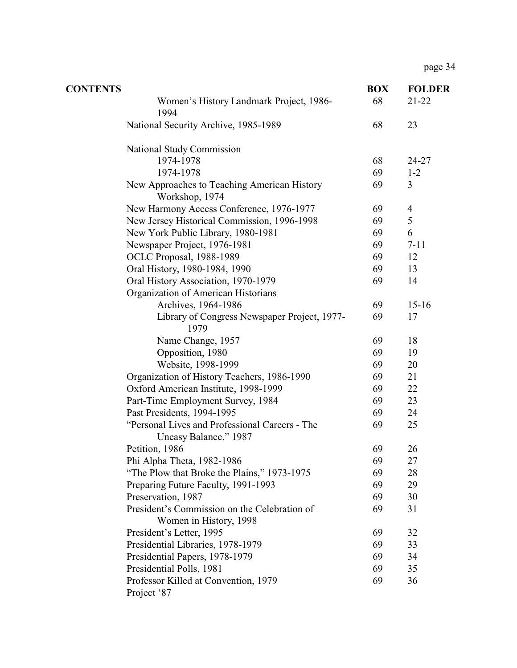| <b>CONTENTS</b> |                                                                         | <b>BOX</b> | <b>FOLDER</b>  |
|-----------------|-------------------------------------------------------------------------|------------|----------------|
|                 | Women's History Landmark Project, 1986-<br>1994                         | 68         | $21 - 22$      |
|                 | National Security Archive, 1985-1989                                    | 68         | 23             |
|                 | National Study Commission                                               |            |                |
|                 | 1974-1978                                                               | 68         | 24-27          |
|                 | 1974-1978                                                               | 69         | $1 - 2$        |
|                 | New Approaches to Teaching American History<br>Workshop, 1974           | 69         | 3              |
|                 | New Harmony Access Conference, 1976-1977                                | 69         | $\overline{4}$ |
|                 | New Jersey Historical Commission, 1996-1998                             | 69         | 5              |
|                 | New York Public Library, 1980-1981                                      | 69         | 6              |
|                 | Newspaper Project, 1976-1981                                            | 69         | $7 - 11$       |
|                 | OCLC Proposal, 1988-1989                                                | 69         | 12             |
|                 | Oral History, 1980-1984, 1990                                           | 69         | 13             |
|                 | Oral History Association, 1970-1979                                     | 69         | 14             |
|                 | Organization of American Historians                                     |            |                |
|                 | Archives, 1964-1986                                                     | 69         | $15 - 16$      |
|                 | Library of Congress Newspaper Project, 1977-<br>1979                    | 69         | 17             |
|                 | Name Change, 1957                                                       | 69         | 18             |
|                 | Opposition, 1980                                                        | 69         | 19             |
|                 | Website, 1998-1999                                                      | 69         | 20             |
|                 | Organization of History Teachers, 1986-1990                             | 69         | 21             |
|                 | Oxford American Institute, 1998-1999                                    | 69         | 22             |
|                 | Part-Time Employment Survey, 1984                                       | 69         | 23             |
|                 | Past Presidents, 1994-1995                                              | 69         | 24             |
|                 | "Personal Lives and Professional Careers - The<br>Uneasy Balance," 1987 | 69         | 25             |
|                 | Petition, 1986                                                          | 69         | 26             |
|                 | Phi Alpha Theta, 1982-1986                                              | 69         | 27             |
|                 | "The Plow that Broke the Plains," 1973-1975                             | 69         | 28             |
|                 | Preparing Future Faculty, 1991-1993                                     | 69         | 29             |
|                 | Preservation, 1987                                                      | 69         | 30             |
|                 | President's Commission on the Celebration of<br>Women in History, 1998  | 69         | 31             |
|                 | President's Letter, 1995                                                | 69         | 32             |
|                 | Presidential Libraries, 1978-1979                                       | 69         | 33             |
|                 | Presidential Papers, 1978-1979                                          | 69         | 34             |
|                 | Presidential Polls, 1981                                                | 69         | 35             |
|                 | Professor Killed at Convention, 1979                                    | 69         | 36             |
|                 | Project '87                                                             |            |                |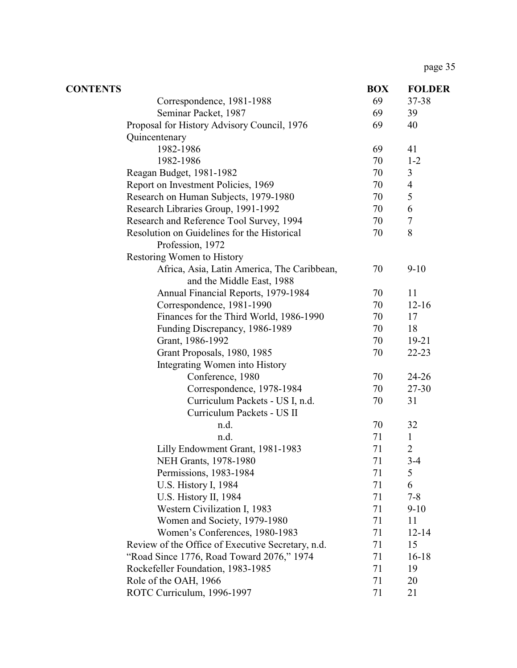| <b>CONTENTS</b> |                                                   | <b>BOX</b> | <b>FOLDER</b>  |
|-----------------|---------------------------------------------------|------------|----------------|
|                 | Correspondence, 1981-1988                         | 69         | 37-38          |
|                 | Seminar Packet, 1987                              | 69         | 39             |
|                 | Proposal for History Advisory Council, 1976       | 69         | 40             |
|                 | Quincentenary                                     |            |                |
|                 | 1982-1986                                         | 69         | 41             |
|                 | 1982-1986                                         | 70         | $1 - 2$        |
|                 | Reagan Budget, 1981-1982                          | 70         | 3              |
|                 | Report on Investment Policies, 1969               | 70         | $\overline{4}$ |
|                 | Research on Human Subjects, 1979-1980             | 70         | 5              |
|                 | Research Libraries Group, 1991-1992               | 70         | 6              |
|                 | Research and Reference Tool Survey, 1994          | 70         | 7              |
|                 | Resolution on Guidelines for the Historical       | 70         | 8              |
|                 | Profession, 1972                                  |            |                |
|                 | Restoring Women to History                        |            |                |
|                 | Africa, Asia, Latin America, The Caribbean,       | 70         | $9-10$         |
|                 | and the Middle East, 1988                         |            |                |
|                 | Annual Financial Reports, 1979-1984               | 70         | 11             |
|                 | Correspondence, 1981-1990                         | 70         | $12 - 16$      |
|                 | Finances for the Third World, 1986-1990           | 70         | 17             |
|                 | Funding Discrepancy, 1986-1989                    | 70         | 18             |
|                 | Grant, 1986-1992                                  | 70         | 19-21          |
|                 | Grant Proposals, 1980, 1985                       | 70         | $22 - 23$      |
|                 | Integrating Women into History                    |            |                |
|                 | Conference, 1980                                  | 70         | 24-26          |
|                 | Correspondence, 1978-1984                         | 70         | 27-30          |
|                 | Curriculum Packets - US I, n.d.                   | 70         | 31             |
|                 | Curriculum Packets - US II                        |            |                |
|                 | n.d.                                              | 70         | 32             |
|                 | n.d.                                              | 71         | $\mathbf{1}$   |
|                 | Lilly Endowment Grant, 1981-1983                  | 71         | $\overline{2}$ |
|                 | NEH Grants, 1978-1980                             | 71         | $3-4$          |
|                 | Permissions, 1983-1984                            | 71         | 5              |
|                 | <b>U.S. History I, 1984</b>                       | 71         | 6              |
|                 | U.S. History II, 1984                             | 71         | $7 - 8$        |
|                 | Western Civilization I, 1983                      | 71         | $9-10$         |
|                 | Women and Society, 1979-1980                      | 71         | 11             |
|                 | Women's Conferences, 1980-1983                    | 71         | $12 - 14$      |
|                 | Review of the Office of Executive Secretary, n.d. | 71         | 15             |
|                 | "Road Since 1776, Road Toward 2076," 1974         | 71         | $16 - 18$      |
|                 | Rockefeller Foundation, 1983-1985                 | 71         | 19             |
|                 | Role of the OAH, 1966                             | 71         | 20             |
|                 | ROTC Curriculum, 1996-1997                        | 71         | 21             |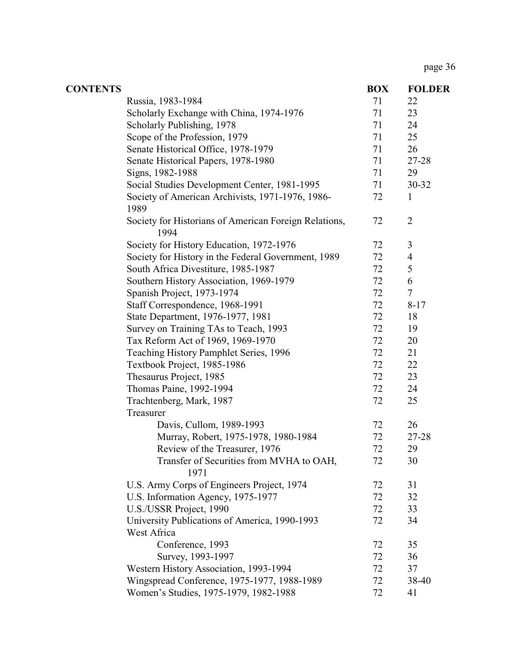| <b>CONTENTS</b> |                                                               | <b>BOX</b> | <b>FOLDER</b>  |
|-----------------|---------------------------------------------------------------|------------|----------------|
|                 | Russia, 1983-1984                                             | 71         | 22             |
|                 | Scholarly Exchange with China, 1974-1976                      | 71         | 23             |
|                 | Scholarly Publishing, 1978                                    | 71         | 24             |
|                 | Scope of the Profession, 1979                                 | 71         | 25             |
|                 | Senate Historical Office, 1978-1979                           | 71         | 26             |
|                 | Senate Historical Papers, 1978-1980                           | 71         | 27-28          |
|                 | Signs, 1982-1988                                              | 71         | 29             |
|                 | Social Studies Development Center, 1981-1995                  | 71         | 30-32          |
|                 | Society of American Archivists, 1971-1976, 1986-<br>1989      | 72         | $\mathbf{1}$   |
|                 | Society for Historians of American Foreign Relations,<br>1994 | 72         | $\overline{2}$ |
|                 | Society for History Education, 1972-1976                      | 72         | 3              |
|                 | Society for History in the Federal Government, 1989           | 72         | $\overline{4}$ |
|                 | South Africa Divestiture, 1985-1987                           | 72         | 5              |
|                 | Southern History Association, 1969-1979                       | 72         | 6              |
|                 | Spanish Project, 1973-1974                                    | 72         | 7              |
|                 | Staff Correspondence, 1968-1991                               | 72         | $8 - 17$       |
|                 | State Department, 1976-1977, 1981                             | 72         | 18             |
|                 | Survey on Training TAs to Teach, 1993                         | 72         | 19             |
|                 | Tax Reform Act of 1969, 1969-1970                             | 72         | 20             |
|                 | Teaching History Pamphlet Series, 1996                        | 72         | 21             |
|                 | Textbook Project, 1985-1986                                   | 72         | 22             |
|                 | Thesaurus Project, 1985                                       | 72         | 23             |
|                 | Thomas Paine, 1992-1994                                       | 72         | 24             |
|                 | Trachtenberg, Mark, 1987                                      | 72         | 25             |
|                 | Treasurer                                                     |            |                |
|                 | Davis, Cullom, 1989-1993                                      | 72         | 26             |
|                 | Murray, Robert, 1975-1978, 1980-1984                          | 72         | 27-28          |
|                 | Review of the Treasurer, 1976                                 | 72         | 29             |
|                 | Transfer of Securities from MVHA to OAH.<br>1971              | 72         | 30             |
|                 | U.S. Army Corps of Engineers Project, 1974                    | 72         | 31             |
|                 | U.S. Information Agency, 1975-1977                            | 72         | 32             |
|                 | U.S./USSR Project, 1990                                       | 72         | 33             |
|                 | University Publications of America, 1990-1993                 | 72         | 34             |
|                 | West Africa                                                   |            |                |
|                 | Conference, 1993                                              | 72         | 35             |
|                 | Survey, 1993-1997                                             | 72         | 36             |
|                 | Western History Association, 1993-1994                        | 72         | 37             |
|                 | Wingspread Conference, 1975-1977, 1988-1989                   | 72         | 38-40          |
|                 | Women's Studies, 1975-1979, 1982-1988                         | 72         | 41             |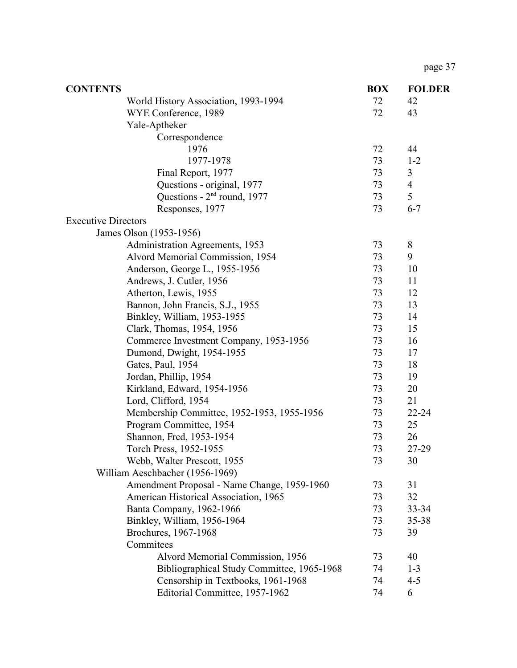| <b>CONTENTS</b>                             | <b>BOX</b> | <b>FOLDER</b>  |
|---------------------------------------------|------------|----------------|
| World History Association, 1993-1994        | 72         | 42             |
| WYE Conference, 1989                        | 72         | 43             |
| Yale-Aptheker                               |            |                |
| Correspondence                              |            |                |
| 1976                                        | 72         | 44             |
| 1977-1978                                   | 73         | $1 - 2$        |
| Final Report, 1977                          | 73         | 3              |
| Questions - original, 1977                  | 73         | $\overline{4}$ |
| Questions - $2nd$ round, 1977               | 73         | 5              |
| Responses, 1977                             | 73         | $6 - 7$        |
| <b>Executive Directors</b>                  |            |                |
| James Olson (1953-1956)                     |            |                |
| Administration Agreements, 1953             | 73         | 8              |
| Alvord Memorial Commission, 1954            | 73         | 9              |
| Anderson, George L., 1955-1956              | 73         | 10             |
| Andrews, J. Cutler, 1956                    | 73         | 11             |
| Atherton, Lewis, 1955                       | 73         | 12             |
| Bannon, John Francis, S.J., 1955            | 73         | 13             |
| Binkley, William, 1953-1955                 | 73         | 14             |
| Clark, Thomas, 1954, 1956                   | 73         | 15             |
| Commerce Investment Company, 1953-1956      | 73         | 16             |
| Dumond, Dwight, 1954-1955                   | 73         | 17             |
| Gates, Paul, 1954                           | 73         | 18             |
| Jordan, Phillip, 1954                       | 73         | 19             |
| Kirkland, Edward, 1954-1956                 | 73         | 20             |
| Lord, Clifford, 1954                        | 73         | 21             |
| Membership Committee, 1952-1953, 1955-1956  | 73         | 22-24          |
| Program Committee, 1954                     | 73         | 25             |
| Shannon, Fred, 1953-1954                    | 73         | 26             |
| Torch Press, 1952-1955                      | 73         | 27-29          |
| Webb, Walter Prescott, 1955                 | 73         | 30             |
| William Aeschbacher (1956-1969)             |            |                |
| Amendment Proposal - Name Change, 1959-1960 | 73         | 31             |
| American Historical Association, 1965       | 73         | 32             |
| Banta Company, 1962-1966                    | 73         | 33-34          |
| Binkley, William, 1956-1964                 | 73         | 35-38          |
| Brochures, 1967-1968                        | 73         | 39             |
| Commitees                                   |            |                |
| Alvord Memorial Commission, 1956            | 73         | 40             |
| Bibliographical Study Committee, 1965-1968  | 74         | $1 - 3$        |
| Censorship in Textbooks, 1961-1968          | 74         | $4 - 5$        |
| Editorial Committee, 1957-1962              | 74         | 6              |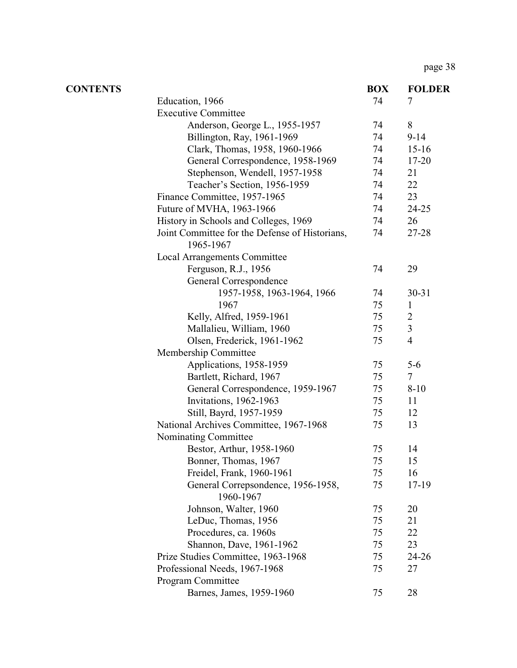| <b>CONTENTS</b> |                                                             | <b>BOX</b> | <b>FOLDER</b>  |
|-----------------|-------------------------------------------------------------|------------|----------------|
|                 | Education, 1966                                             | 74         | 7              |
|                 | <b>Executive Committee</b>                                  |            |                |
|                 | Anderson, George L., 1955-1957                              | 74         | 8              |
|                 | Billington, Ray, 1961-1969                                  | 74         | $9 - 14$       |
|                 | Clark, Thomas, 1958, 1960-1966                              | 74         | $15-16$        |
|                 | General Correspondence, 1958-1969                           | 74         | $17 - 20$      |
|                 | Stephenson, Wendell, 1957-1958                              | 74         | 21             |
|                 | Teacher's Section, 1956-1959                                | 74         | 22             |
|                 | Finance Committee, 1957-1965                                | 74         | 23             |
|                 | Future of MVHA, 1963-1966                                   | 74         | 24-25          |
|                 | History in Schools and Colleges, 1969                       | 74         | 26             |
|                 | Joint Committee for the Defense of Historians,<br>1965-1967 | 74         | 27-28          |
|                 | <b>Local Arrangements Committee</b>                         |            |                |
|                 | Ferguson, R.J., 1956                                        | 74         | 29             |
|                 | General Correspondence                                      |            |                |
|                 | 1957-1958, 1963-1964, 1966                                  | 74         | $30 - 31$      |
|                 | 1967                                                        | 75         | $\mathbf{1}$   |
|                 | Kelly, Alfred, 1959-1961                                    | 75         | $\overline{2}$ |
|                 | Mallalieu, William, 1960                                    | 75         | $\overline{3}$ |
|                 | Olsen, Frederick, 1961-1962                                 | 75         | $\overline{4}$ |
|                 | Membership Committee                                        |            |                |
|                 | Applications, 1958-1959                                     | 75         | $5-6$          |
|                 | Bartlett, Richard, 1967                                     | 75         | 7              |
|                 | General Correspondence, 1959-1967                           | 75         | $8 - 10$       |
|                 | Invitations, 1962-1963                                      | 75         | 11             |
|                 | Still, Bayrd, 1957-1959                                     | 75         | 12             |
|                 | National Archives Committee, 1967-1968                      | 75         | 13             |
|                 | Nominating Committee                                        |            |                |
|                 | Bestor, Arthur, 1958-1960                                   | 75         | 14             |
|                 | Bonner, Thomas, 1967                                        | 75         | 15             |
|                 | Freidel, Frank, 1960-1961                                   | 75         | 16             |
|                 | General Correpsondence, 1956-1958,<br>1960-1967             | 75         | 17-19          |
|                 | Johnson, Walter, 1960                                       | 75         | 20             |
|                 | LeDuc, Thomas, 1956                                         | 75         | 21             |
|                 | Procedures, ca. 1960s                                       | 75         | 22             |
|                 | Shannon, Dave, 1961-1962                                    | 75         | 23             |
|                 | Prize Studies Committee, 1963-1968                          | 75         | 24-26          |
|                 | Professional Needs, 1967-1968                               | 75         | 27             |
|                 | Program Committee                                           |            |                |
|                 | Barnes, James, 1959-1960                                    | 75         | 28             |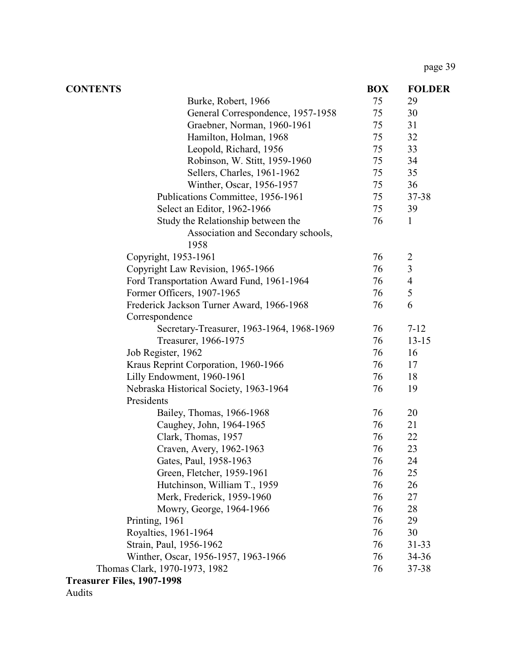| <b>CONTENTS</b>            |                                           | <b>BOX</b> | <b>FOLDER</b>            |
|----------------------------|-------------------------------------------|------------|--------------------------|
|                            | Burke, Robert, 1966                       | 75         | 29                       |
|                            | General Correspondence, 1957-1958         | 75         | 30                       |
|                            | Graebner, Norman, 1960-1961               | 75         | 31                       |
|                            | Hamilton, Holman, 1968                    | 75         | 32                       |
|                            | Leopold, Richard, 1956                    | 75         | 33                       |
|                            | Robinson, W. Stitt, 1959-1960             | 75         | 34                       |
|                            | Sellers, Charles, 1961-1962               | 75         | 35                       |
|                            | Winther, Oscar, 1956-1957                 | 75         | 36                       |
|                            | Publications Committee, 1956-1961         | 75         | 37-38                    |
|                            | Select an Editor, 1962-1966               | 75         | 39                       |
|                            | Study the Relationship between the        | 76         | $\mathbf{1}$             |
|                            | Association and Secondary schools,        |            |                          |
|                            | 1958                                      |            |                          |
|                            | Copyright, 1953-1961                      | 76         | $\overline{2}$           |
|                            | Copyright Law Revision, 1965-1966         | 76         | $\overline{3}$           |
|                            | Ford Transportation Award Fund, 1961-1964 | 76         | $\overline{\mathcal{A}}$ |
|                            | Former Officers, 1907-1965                | 76         | 5                        |
|                            | Frederick Jackson Turner Award, 1966-1968 | 76         | 6                        |
|                            | Correspondence                            |            |                          |
|                            | Secretary-Treasurer, 1963-1964, 1968-1969 | 76         | $7 - 12$                 |
|                            | Treasurer, 1966-1975                      | 76         | $13 - 15$                |
|                            | Job Register, 1962                        | 76         | 16                       |
|                            | Kraus Reprint Corporation, 1960-1966      | 76         | 17                       |
|                            | Lilly Endowment, 1960-1961                | 76         | 18                       |
|                            | Nebraska Historical Society, 1963-1964    | 76         | 19                       |
|                            | Presidents                                |            |                          |
|                            | Bailey, Thomas, 1966-1968                 | 76         | 20                       |
|                            | Caughey, John, 1964-1965                  | 76         | 21                       |
|                            | Clark, Thomas, 1957                       | 76         | 22                       |
|                            | Craven, Avery, 1962-1963                  | 76         | 23                       |
|                            | Gates, Paul, 1958-1963                    | 76         | 24                       |
|                            | Green, Fletcher, 1959-1961                | 76         | 25                       |
|                            | Hutchinson, William T., 1959              | 76         | 26                       |
|                            | Merk, Frederick, 1959-1960                | 76         | 27                       |
|                            | Mowry, George, 1964-1966                  | 76         | 28                       |
|                            | Printing, 1961                            | 76         | 29                       |
|                            | Royalties, 1961-1964                      | 76         | 30                       |
|                            | Strain, Paul, 1956-1962                   | 76         | $31 - 33$                |
|                            | Winther, Oscar, 1956-1957, 1963-1966      | 76         | 34-36                    |
|                            | Thomas Clark, 1970-1973, 1982             | 76         | 37-38                    |
| Treasurer Files, 1907-1998 |                                           |            |                          |

Audits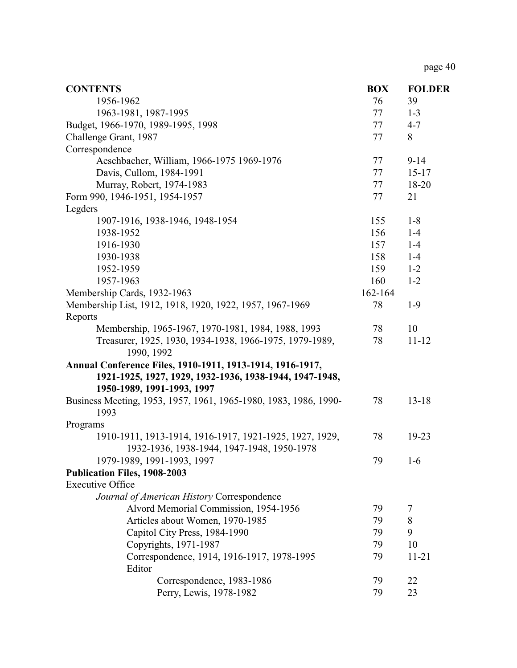| <b>CONTENTS</b>                                                  | <b>BOX</b> | <b>FOLDER</b> |
|------------------------------------------------------------------|------------|---------------|
| 1956-1962                                                        | 76         | 39            |
| 1963-1981, 1987-1995                                             | 77         | $1 - 3$       |
| Budget, 1966-1970, 1989-1995, 1998                               | 77         | $4 - 7$       |
| Challenge Grant, 1987                                            | 77         | 8             |
| Correspondence                                                   |            |               |
| Aeschbacher, William, 1966-1975 1969-1976                        | 77         | $9 - 14$      |
| Davis, Cullom, 1984-1991                                         | 77         | $15 - 17$     |
| Murray, Robert, 1974-1983                                        | 77         | 18-20         |
| Form 990, 1946-1951, 1954-1957                                   | 77         | 21            |
| Legders                                                          |            |               |
| 1907-1916, 1938-1946, 1948-1954                                  | 155        | $1-8$         |
| 1938-1952                                                        | 156        | $1-4$         |
| 1916-1930                                                        | 157        | $1-4$         |
| 1930-1938                                                        | 158        | $1-4$         |
| 1952-1959                                                        | 159        | $1 - 2$       |
| 1957-1963                                                        | 160        | $1 - 2$       |
| Membership Cards, 1932-1963                                      | 162-164    |               |
| Membership List, 1912, 1918, 1920, 1922, 1957, 1967-1969         | 78         | $1-9$         |
| Reports                                                          |            |               |
| Membership, 1965-1967, 1970-1981, 1984, 1988, 1993               | 78         | 10            |
| Treasurer, 1925, 1930, 1934-1938, 1966-1975, 1979-1989,          | 78         | $11 - 12$     |
| 1990, 1992                                                       |            |               |
| Annual Conference Files, 1910-1911, 1913-1914, 1916-1917,        |            |               |
| 1921-1925, 1927, 1929, 1932-1936, 1938-1944, 1947-1948,          |            |               |
| 1950-1989, 1991-1993, 1997                                       |            |               |
| Business Meeting, 1953, 1957, 1961, 1965-1980, 1983, 1986, 1990- | 78         | $13 - 18$     |
| 1993                                                             |            |               |
| Programs                                                         |            |               |
| 1910-1911, 1913-1914, 1916-1917, 1921-1925, 1927, 1929,          | 78         | 19-23         |
| 1932-1936, 1938-1944, 1947-1948, 1950-1978                       |            |               |
| 1979-1989, 1991-1993, 1997                                       | 79         | $1-6$         |
| Publication Files, 1908-2003                                     |            |               |
| <b>Executive Office</b>                                          |            |               |
| Journal of American History Correspondence                       |            |               |
| Alvord Memorial Commission, 1954-1956                            | 79         | 7             |
| Articles about Women, 1970-1985                                  | 79         | 8             |
| Capitol City Press, 1984-1990                                    | 79         | 9             |
| Copyrights, 1971-1987                                            | 79         | 10            |
| Correspondence, 1914, 1916-1917, 1978-1995                       | 79         | $11 - 21$     |
| Editor                                                           |            |               |
| Correspondence, 1983-1986                                        | 79         | 22            |
| Perry, Lewis, 1978-1982                                          | 79         | 23            |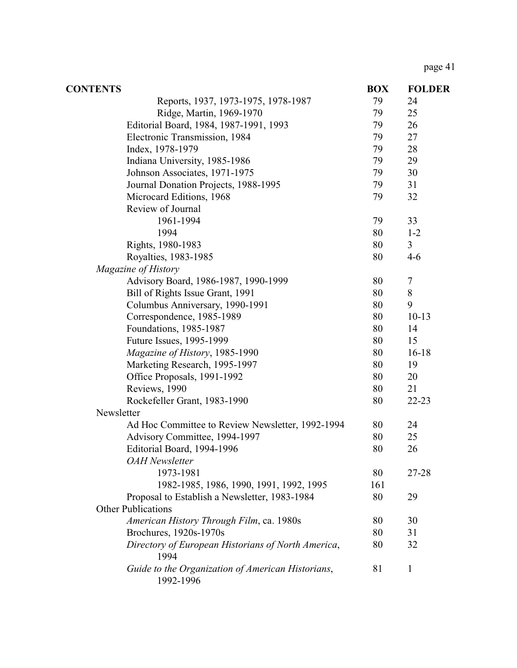| <b>CONTENTS</b>                                                | <b>BOX</b> | <b>FOLDER</b>  |
|----------------------------------------------------------------|------------|----------------|
| Reports, 1937, 1973-1975, 1978-1987                            | 79         | 24             |
| Ridge, Martin, 1969-1970                                       | 79         | 25             |
| Editorial Board, 1984, 1987-1991, 1993                         | 79         | 26             |
| Electronic Transmission, 1984                                  | 79         | 27             |
| Index, 1978-1979                                               | 79         | 28             |
| Indiana University, 1985-1986                                  | 79         | 29             |
| Johnson Associates, 1971-1975                                  | 79         | 30             |
| Journal Donation Projects, 1988-1995                           | 79         | 31             |
| Microcard Editions, 1968                                       | 79         | 32             |
| Review of Journal                                              |            |                |
| 1961-1994                                                      | 79         | 33             |
| 1994                                                           | 80         | $1 - 2$        |
| Rights, 1980-1983                                              | 80         | $\overline{3}$ |
| Royalties, 1983-1985                                           | 80         | $4-6$          |
| <b>Magazine of History</b>                                     |            |                |
| Advisory Board, 1986-1987, 1990-1999                           | 80         | 7              |
| Bill of Rights Issue Grant, 1991                               | 80         | $8\,$          |
| Columbus Anniversary, 1990-1991                                | 80         | 9              |
| Correspondence, 1985-1989                                      | 80         | $10-13$        |
| Foundations, 1985-1987                                         | 80         | 14             |
| Future Issues, 1995-1999                                       | 80         | 15             |
| Magazine of History, 1985-1990                                 | 80         | $16 - 18$      |
| Marketing Research, 1995-1997                                  | 80         | 19             |
| Office Proposals, 1991-1992                                    | 80         | 20             |
| Reviews, 1990                                                  | 80         | 21             |
| Rockefeller Grant, 1983-1990                                   | 80         | $22 - 23$      |
| Newsletter                                                     |            |                |
| Ad Hoc Committee to Review Newsletter, 1992-1994               | 80         | 24             |
| Advisory Committee, 1994-1997                                  | 80         | 25             |
| Editorial Board, 1994-1996                                     | 80         | 26             |
| <i>OAH</i> Newsletter                                          |            |                |
| 1973-1981                                                      | 80         | 27-28          |
| 1982-1985, 1986, 1990, 1991, 1992, 1995                        | 161        |                |
| Proposal to Establish a Newsletter, 1983-1984                  | 80         | 29             |
| <b>Other Publications</b>                                      |            |                |
| American History Through Film, ca. 1980s                       | 80         | 30             |
| Brochures, 1920s-1970s                                         | 80         | 31             |
| Directory of European Historians of North America,<br>1994     | 80         | 32             |
| Guide to the Organization of American Historians,<br>1992-1996 | 81         | 1              |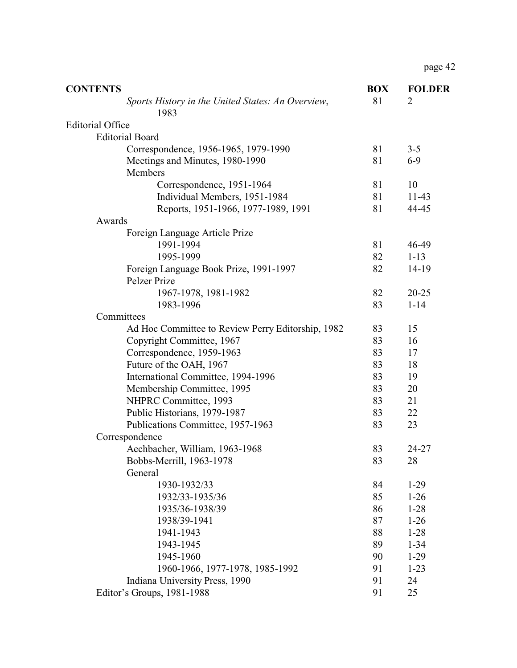| <b>CONTENTS</b>                                           | <b>BOX</b> | <b>FOLDER</b> |
|-----------------------------------------------------------|------------|---------------|
| Sports History in the United States: An Overview,<br>1983 | 81         | 2             |
| <b>Editorial Office</b>                                   |            |               |
| <b>Editorial Board</b>                                    |            |               |
| Correspondence, 1956-1965, 1979-1990                      | 81         | $3 - 5$       |
| Meetings and Minutes, 1980-1990                           | 81         | $6-9$         |
| Members                                                   |            |               |
| Correspondence, 1951-1964                                 | 81         | 10            |
| Individual Members, 1951-1984                             | 81         | $11-43$       |
| Reports, 1951-1966, 1977-1989, 1991                       | 81         | 44-45         |
| Awards                                                    |            |               |
| Foreign Language Article Prize                            |            |               |
| 1991-1994                                                 | 81         | 46-49         |
| 1995-1999                                                 | 82         | $1 - 13$      |
| Foreign Language Book Prize, 1991-1997                    | 82         | $14-19$       |
| Pelzer Prize                                              |            |               |
| 1967-1978, 1981-1982                                      | 82         | $20 - 25$     |
| 1983-1996                                                 | 83         | $1 - 14$      |
| Committees                                                |            |               |
| Ad Hoc Committee to Review Perry Editorship, 1982         | 83         | 15            |
| Copyright Committee, 1967                                 | 83         | 16            |
| Correspondence, 1959-1963                                 | 83         | 17            |
| Future of the OAH, 1967                                   | 83         | 18            |
| International Committee, 1994-1996                        | 83         | 19            |
| Membership Committee, 1995                                | 83         | 20            |
| NHPRC Committee, 1993                                     | 83         | 21            |
| Public Historians, 1979-1987                              | 83         | 22            |
| Publications Committee, 1957-1963                         | 83         | 23            |
| Correspondence                                            |            |               |
| Aechbacher, William, 1963-1968                            | 83         | 24-27         |
| Bobbs-Merrill, 1963-1978                                  | 83         | 28            |
| General                                                   |            |               |
| 1930-1932/33                                              | 84         | $1-29$        |
| 1932/33-1935/36                                           | 85         | $1-26$        |
| 1935/36-1938/39                                           | 86         | $1-28$        |
| 1938/39-1941                                              | 87         | $1-26$        |
| 1941-1943                                                 | 88         | $1 - 28$      |
| 1943-1945                                                 | 89         | $1 - 34$      |
| 1945-1960                                                 | 90         | $1-29$        |
| 1960-1966, 1977-1978, 1985-1992                           | 91         | $1 - 23$      |
| Indiana University Press, 1990                            | 91         | 24            |
| Editor's Groups, 1981-1988                                | 91         | 25            |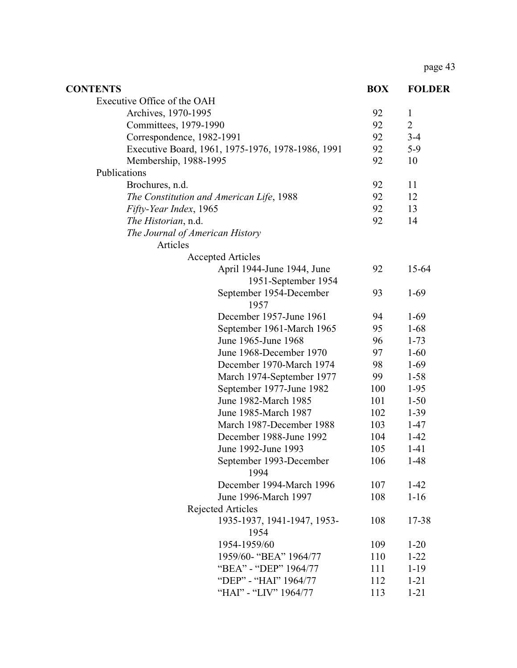| <b>CONTENTS</b>                                   |                             | <b>BOX</b> | <b>FOLDER</b>  |
|---------------------------------------------------|-----------------------------|------------|----------------|
| Executive Office of the OAH                       |                             |            |                |
| Archives, 1970-1995                               |                             | 92         | $\mathbf{1}$   |
| Committees, 1979-1990                             |                             | 92         | $\overline{2}$ |
| Correspondence, 1982-1991                         |                             | 92         | $3 - 4$        |
| Executive Board, 1961, 1975-1976, 1978-1986, 1991 |                             | 92         | $5-9$          |
| Membership, 1988-1995                             |                             | 92         | 10             |
| Publications                                      |                             |            |                |
| Brochures, n.d.                                   |                             | 92         | 11             |
| The Constitution and American Life, 1988          |                             | 92         | 12             |
| Fifty-Year Index, 1965                            |                             | 92         | 13             |
| The Historian, n.d.                               |                             | 92         | 14             |
| The Journal of American History                   |                             |            |                |
| Articles                                          |                             |            |                |
| <b>Accepted Articles</b>                          |                             |            |                |
|                                                   | April 1944-June 1944, June  | 92         | 15-64          |
|                                                   | 1951-September 1954         |            |                |
|                                                   | September 1954-December     | 93         | $1-69$         |
|                                                   | 1957                        |            |                |
|                                                   | December 1957-June 1961     | 94         | $1-69$         |
|                                                   | September 1961-March 1965   | 95         | $1-68$         |
|                                                   | June 1965-June 1968         | 96         | $1 - 73$       |
|                                                   | June 1968-December 1970     | 97         | $1-60$         |
|                                                   | December 1970-March 1974    | 98         | $1-69$         |
|                                                   | March 1974-September 1977   | 99         | $1 - 58$       |
|                                                   | September 1977-June 1982    | 100        | $1-95$         |
|                                                   | June 1982-March 1985        | 101        | $1 - 50$       |
|                                                   | June 1985-March 1987        | 102        | $1-39$         |
|                                                   | March 1987-December 1988    | 103        | $1-47$         |
|                                                   | December 1988-June 1992     | 104        | $1-42$         |
|                                                   | June 1992-June 1993         | 105        | $1-41$         |
|                                                   | September 1993-December     | 106        | 1-48           |
|                                                   | 1994                        |            |                |
|                                                   | December 1994-March 1996    | 107        | $1-42$         |
|                                                   | June 1996-March 1997        | 108        | $1 - 16$       |
| Rejected Articles                                 |                             |            |                |
|                                                   | 1935-1937, 1941-1947, 1953- | 108        | 17-38          |
|                                                   | 1954                        |            |                |
| 1954-1959/60                                      |                             | 109        | $1-20$         |
|                                                   | 1959/60- "BEA" 1964/77      | 110        | $1 - 22$       |
|                                                   | "BEA" - "DEP" 1964/77       | 111        | $1-19$         |
|                                                   | "DEP" - "HAI" 1964/77       | 112        | $1 - 21$       |
|                                                   | "HAI" - "LIV" 1964/77       | 113        | $1 - 21$       |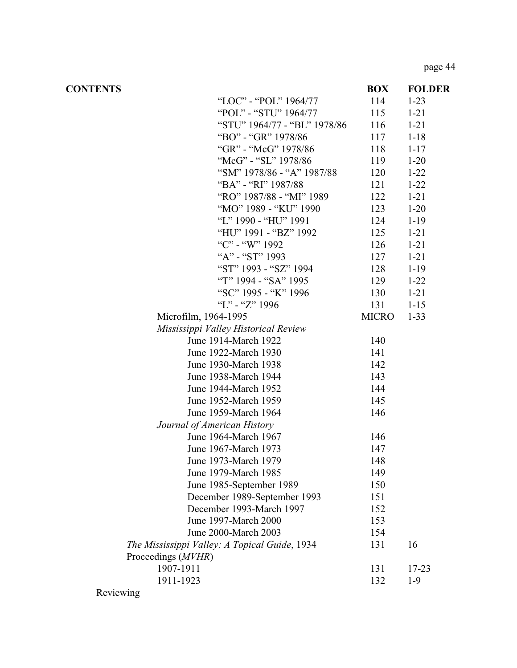| <b>CONTENTS</b>                               | <b>BOX</b>   | <b>FOLDER</b> |
|-----------------------------------------------|--------------|---------------|
| "LOC" - "POL" 1964/77                         | 114          | $1 - 23$      |
| "POL" - "STU" 1964/77                         | 115          | $1 - 21$      |
| "STU" 1964/77 - "BL" 1978/86                  | 116          | $1 - 21$      |
| "BO" - "GR" 1978/86                           | 117          | $1 - 18$      |
| "GR" - "McG" 1978/86                          | 118          | $1 - 17$      |
| "McG" - "SL" 1978/86                          | 119          | $1 - 20$      |
| "SM" 1978/86 - "A" 1987/88                    | 120          | $1 - 22$      |
| "BA" - "RI" 1987/88                           | 121          | $1 - 22$      |
| "RO" 1987/88 - "MI" 1989                      | 122          | $1 - 21$      |
| "MO" 1989 - "KU" 1990                         | 123          | $1-20$        |
| "L" 1990 - "HU" 1991                          | 124          | $1-19$        |
| "HU" 1991 - "BZ" 1992                         | 125          | $1 - 21$      |
| "C" - "W" 1992                                | 126          | $1 - 21$      |
| "A" - "ST" 1993                               | 127          | $1 - 21$      |
| "ST" 1993 - "SZ" 1994                         | 128          | $1 - 19$      |
| "T" 1994 - "SA" 1995                          | 129          | $1 - 22$      |
| "SC" 1995 - "K" 1996                          | 130          | $1 - 21$      |
| "L" - "Z" 1996                                | 131          | $1 - 15$      |
| Microfilm, 1964-1995                          | <b>MICRO</b> | $1 - 33$      |
| Mississippi Valley Historical Review          |              |               |
| June 1914-March 1922                          | 140          |               |
| June 1922-March 1930                          | 141          |               |
| June 1930-March 1938                          | 142          |               |
| June 1938-March 1944                          | 143          |               |
| June 1944-March 1952                          | 144          |               |
| June 1952-March 1959                          | 145          |               |
| June 1959-March 1964                          | 146          |               |
| Journal of American History                   |              |               |
| June 1964-March 1967                          | 146          |               |
| June 1967-March 1973                          | 147          |               |
| June 1973-March 1979                          | 148          |               |
| June 1979-March 1985                          | 149          |               |
| June 1985-September 1989                      | 150          |               |
| December 1989-September 1993                  | 151          |               |
| December 1993-March 1997                      | 152          |               |
| June 1997-March 2000                          | 153          |               |
| June 2000-March 2003                          | 154          |               |
| The Mississippi Valley: A Topical Guide, 1934 | 131          | 16            |
| Proceedings (MVHR)                            |              |               |
| 1907-1911                                     | 131          | $17 - 23$     |
| 1911-1923                                     | 132          | $1-9$         |
| Reviewing                                     |              |               |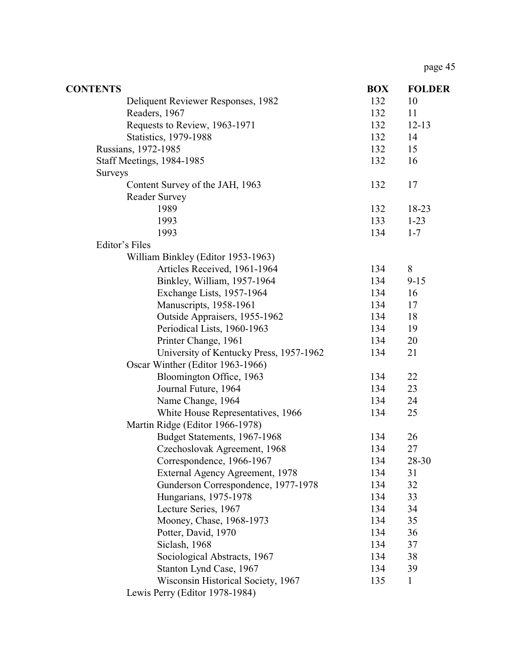| <b>CONTENTS</b>                         | <b>BOX</b> | <b>FOLDER</b> |
|-----------------------------------------|------------|---------------|
| Deliquent Reviewer Responses, 1982      | 132        | 10            |
| Readers, 1967                           | 132        | 11            |
| Requests to Review, 1963-1971           | 132        | $12 - 13$     |
| <b>Statistics</b> , 1979-1988           | 132        | 14            |
| Russians, 1972-1985                     | 132        | 15            |
| Staff Meetings, 1984-1985               | 132        | 16            |
| <b>Surveys</b>                          |            |               |
| Content Survey of the JAH, 1963         | 132        | 17            |
| <b>Reader Survey</b>                    |            |               |
| 1989                                    | 132        | 18-23         |
| 1993                                    | 133        | $1-23$        |
| 1993                                    | 134        | $1 - 7$       |
| Editor's Files                          |            |               |
| William Binkley (Editor 1953-1963)      |            |               |
| Articles Received, 1961-1964            | 134        | 8             |
| Binkley, William, 1957-1964             | 134        | $9 - 15$      |
| Exchange Lists, 1957-1964               | 134        | 16            |
| Manuscripts, 1958-1961                  | 134        | 17            |
| Outside Appraisers, 1955-1962           | 134        | 18            |
| Periodical Lists, 1960-1963             | 134        | 19            |
| Printer Change, 1961                    | 134        | 20            |
| University of Kentucky Press, 1957-1962 | 134        | 21            |
| Oscar Winther (Editor 1963-1966)        |            |               |
| Bloomington Office, 1963                | 134        | 22            |
| Journal Future, 1964                    | 134        | 23            |
| Name Change, 1964                       | 134        | 24            |
| White House Representatives, 1966       | 134        | 25            |
| Martin Ridge (Editor 1966-1978)         |            |               |
| Budget Statements, 1967-1968            | 134        | 26            |
| Czechoslovak Agreement, 1968            | 134        | 27            |
| Correspondence, 1966-1967               | 134        | 28-30         |
| External Agency Agreement, 1978         | 134        | 31            |
| Gunderson Correspondence, 1977-1978     | 134        | 32            |
| Hungarians, 1975-1978                   | 134        | 33            |
| Lecture Series, 1967                    | 134        | 34            |
| Mooney, Chase, 1968-1973                | 134        | 35            |
| Potter, David, 1970                     | 134        | 36            |
| Siclash, 1968                           | 134        | 37            |
| Sociological Abstracts, 1967            | 134        | 38            |
| Stanton Lynd Case, 1967                 | 134        | 39            |
| Wisconsin Historical Society, 1967      | 135        | $\mathbf{1}$  |
| Lewis Perry (Editor 1978-1984)          |            |               |
|                                         |            |               |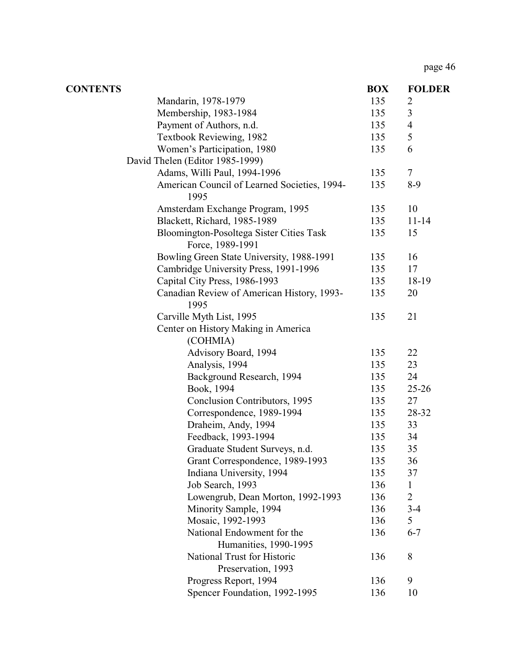| <b>CONTENTS</b>                                              | <b>BOX</b> | <b>FOLDER</b>  |
|--------------------------------------------------------------|------------|----------------|
| Mandarin, 1978-1979                                          | 135        | $\overline{2}$ |
| Membership, 1983-1984                                        | 135        | $\mathfrak{Z}$ |
| Payment of Authors, n.d.                                     | 135        | $\overline{4}$ |
| Textbook Reviewing, 1982                                     | 135        | 5              |
| Women's Participation, 1980                                  | 135        | 6              |
| David Thelen (Editor 1985-1999)                              |            |                |
| Adams, Willi Paul, 1994-1996                                 | 135        | $\tau$         |
| American Council of Learned Societies, 1994-<br>1995         | 135        | $8-9$          |
| Amsterdam Exchange Program, 1995                             | 135        | 10             |
| Blackett, Richard, 1985-1989                                 | 135        | $11 - 14$      |
| Bloomington-Posoltega Sister Cities Task<br>Force, 1989-1991 | 135        | 15             |
| Bowling Green State University, 1988-1991                    | 135        | 16             |
| Cambridge University Press, 1991-1996                        | 135        | 17             |
| Capital City Press, 1986-1993                                | 135        | 18-19          |
| Canadian Review of American History, 1993-<br>1995           | 135        | 20             |
| Carville Myth List, 1995                                     | 135        | 21             |
| Center on History Making in America<br>(COHMIA)              |            |                |
| Advisory Board, 1994                                         | 135        | 22             |
| Analysis, 1994                                               | 135        | 23             |
| Background Research, 1994                                    | 135        | 24             |
| Book, 1994                                                   | 135        | $25 - 26$      |
| Conclusion Contributors, 1995                                | 135        | 27             |
| Correspondence, 1989-1994                                    | 135        | 28-32          |
| Draheim, Andy, 1994                                          | 135        | 33             |
| Feedback, 1993-1994                                          | 135        | 34             |
| Graduate Student Surveys, n.d.                               | 135        | 35             |
| Grant Correspondence, 1989-1993                              | 135        | 36             |
| Indiana University, 1994                                     | 135        | 37             |
| Job Search, 1993                                             | 136        | $\mathbf{1}$   |
| Lowengrub, Dean Morton, 1992-1993                            | 136        | $\overline{2}$ |
| Minority Sample, 1994                                        | 136        | $3-4$          |
| Mosaic, 1992-1993                                            | 136        | 5              |
| National Endowment for the                                   | 136        | $6 - 7$        |
| Humanities, 1990-1995                                        |            |                |
| National Trust for Historic<br>Preservation, 1993            | 136        | 8              |
| Progress Report, 1994                                        | 136        | 9              |
| Spencer Foundation, 1992-1995                                | 136        | 10             |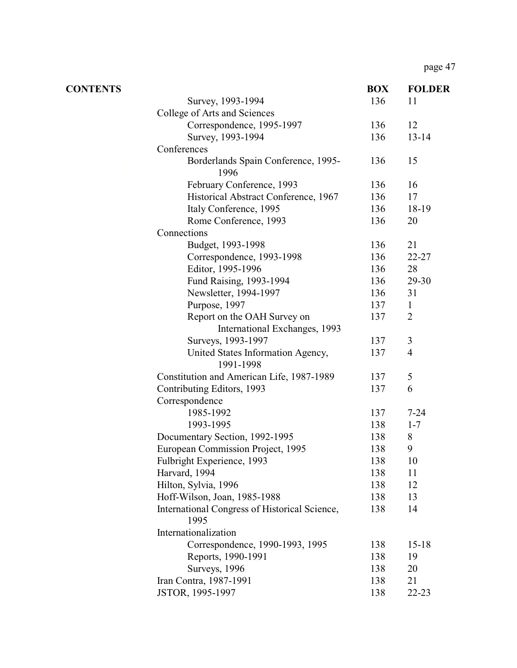| <b>CONTENTS</b> |                                                       | <b>BOX</b> | <b>FOLDER</b>  |
|-----------------|-------------------------------------------------------|------------|----------------|
|                 | Survey, 1993-1994                                     | 136        | 11             |
|                 | College of Arts and Sciences                          |            |                |
|                 | Correspondence, 1995-1997                             | 136        | 12             |
|                 | Survey, 1993-1994                                     | 136        | $13 - 14$      |
|                 | Conferences                                           |            |                |
|                 | Borderlands Spain Conference, 1995-<br>1996           | 136        | 15             |
|                 | February Conference, 1993                             | 136        | 16             |
|                 | Historical Abstract Conference, 1967                  | 136        | 17             |
|                 | Italy Conference, 1995                                | 136        | 18-19          |
|                 | Rome Conference, 1993                                 | 136        | 20             |
|                 | Connections                                           |            |                |
|                 | Budget, 1993-1998                                     | 136        | 21             |
|                 | Correspondence, 1993-1998                             | 136        | 22-27          |
|                 | Editor, 1995-1996                                     | 136        | 28             |
|                 | Fund Raising, 1993-1994                               | 136        | 29-30          |
|                 | Newsletter, 1994-1997                                 | 136        | 31             |
|                 | Purpose, 1997                                         | 137        | $\mathbf{1}$   |
|                 | Report on the OAH Survey on                           | 137        | $\overline{2}$ |
|                 | International Exchanges, 1993                         |            |                |
|                 | Surveys, 1993-1997                                    | 137        | 3              |
|                 | United States Information Agency,<br>1991-1998        | 137        | 4              |
|                 | Constitution and American Life, 1987-1989             | 137        | 5              |
|                 | Contributing Editors, 1993                            | 137        | 6              |
|                 | Correspondence                                        |            |                |
|                 | 1985-1992                                             | 137        | $7 - 24$       |
|                 | 1993-1995                                             | 138        | $1 - 7$        |
|                 | Documentary Section, 1992-1995                        | 138        | 8              |
|                 | European Commission Project, 1995                     | 138        | 9              |
|                 | Fulbright Experience, 1993                            | 138        | 10             |
|                 | Harvard, 1994                                         | 138        | 11             |
|                 | Hilton, Sylvia, 1996                                  | 138        | 12             |
|                 | Hoff-Wilson, Joan, 1985-1988                          | 138        | 13             |
|                 | International Congress of Historical Science,<br>1995 | 138        | 14             |
|                 | Internationalization                                  |            |                |
|                 | Correspondence, 1990-1993, 1995                       | 138        | $15 - 18$      |
|                 | Reports, 1990-1991                                    | 138        | 19             |
|                 | Surveys, 1996                                         | 138        | 20             |
|                 | Iran Contra, 1987-1991                                | 138        | 21             |
|                 | JSTOR, 1995-1997                                      | 138        | $22 - 23$      |